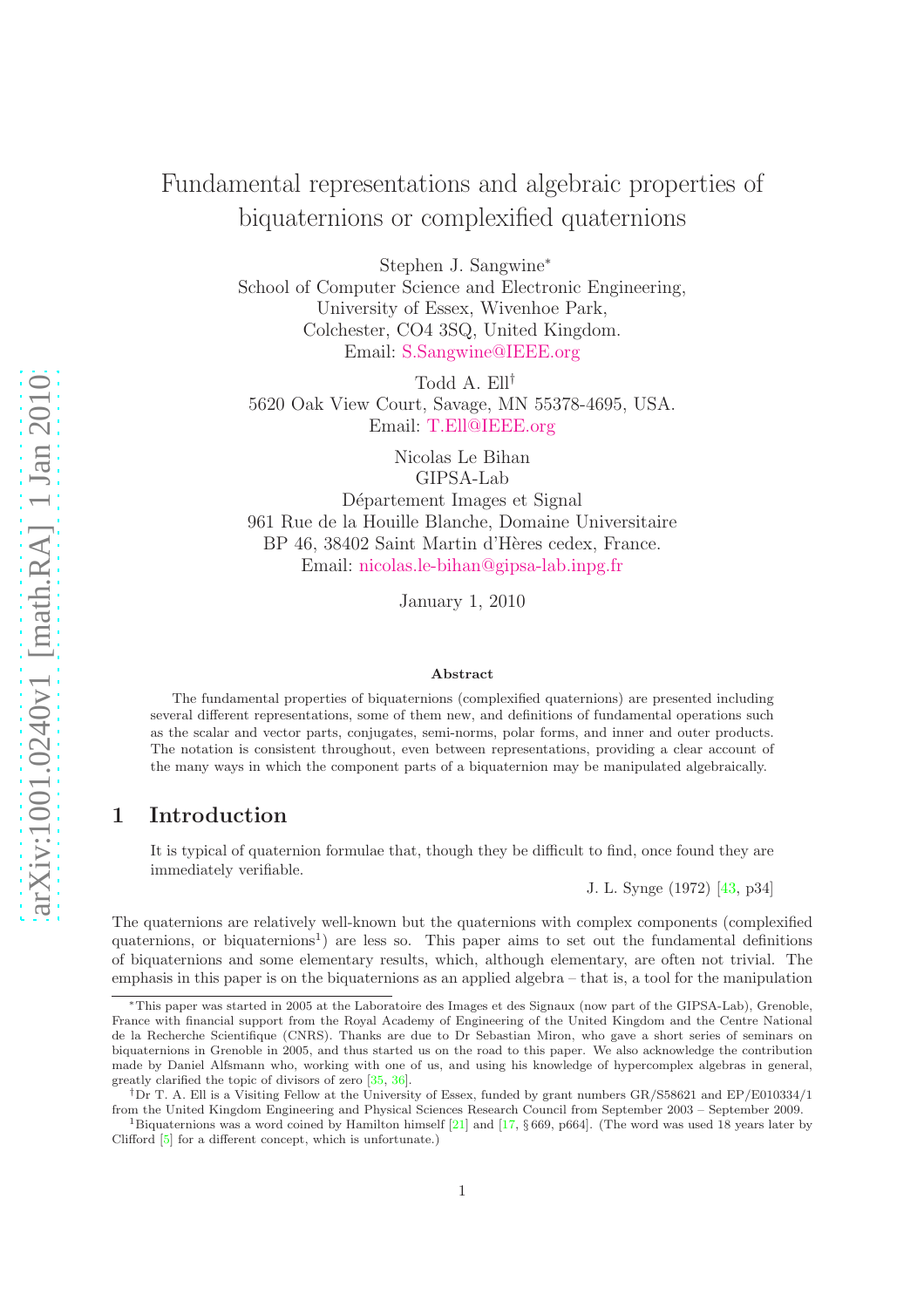# Fundamental representations and algebraic properties of biquaternions or complexified quaternions

Stephen J. Sangwine<sup>∗</sup>

School of Computer Science and Electronic Engineering, University of Essex, Wivenhoe Park, Colchester, CO4 3SQ, United Kingdom. Email: [S.Sangwine@IEEE.org](mailto:s.sangwine@ieee.org)

Todd A. Ell† 5620 Oak View Court, Savage, MN 55378-4695, USA. Email: [T.Ell@IEEE.org](mailto:t.ell@ieee.org)

> Nicolas Le Bihan GIPSA-Lab

Département Images et Signal 961 Rue de la Houille Blanche, Domaine Universitaire BP 46, 38402 Saint Martin d'Hères cedex, France. Email: [nicolas.le-bihan@gipsa-lab.inpg.fr](mailto:nicolas.le-bihan@gipsa-lab.inpg.fr)

January 1, 2010

#### Abstract

The fundamental properties of biquaternions (complexified quaternions) are presented including several different representations, some of them new, and definitions of fundamental operations such as the scalar and vector parts, conjugates, semi-norms, polar forms, and inner and outer products. The notation is consistent throughout, even between representations, providing a clear account of the many ways in which the component parts of a biquaternion may be manipulated algebraically.

# 1 Introduction

It is typical of quaternion formulae that, though they be difficult to find, once found they are immediately verifiable.

J. L. Synge (1972) [\[43,](#page-19-0) p34]

The quaternions are relatively well-known but the quaternions with complex components (complexified quaternions, or biquaternions<sup>1</sup>) are less so. This paper aims to set out the fundamental definitions of biquaternions and some elementary results, which, although elementary, are often not trivial. The emphasis in this paper is on the biquaternions as an applied algebra – that is, a tool for the manipulation

<sup>∗</sup>This paper was started in 2005 at the Laboratoire des Images et des Signaux (now part of the GIPSA-Lab), Grenoble, France with financial support from the Royal Academy of Engineering of the United Kingdom and the Centre National de la Recherche Scientifique (CNRS). Thanks are due to Dr Sebastian Miron, who gave a short series of seminars on biquaternions in Grenoble in 2005, and thus started us on the road to this paper. We also acknowledge the contribution made by Daniel Alfsmann who, working with one of us, and using his knowledge of hypercomplex algebras in general, greatly clarified the topic of divisors of zero [\[35,](#page-18-0) [36\]](#page-18-1).

<sup>†</sup>Dr T. A. Ell is a Visiting Fellow at the University of Essex, funded by grant numbers GR/S58621 and EP/E010334/1 from the United Kingdom Engineering and Physical Sciences Research Council from September 2003 – September 2009.

<sup>1</sup>Biquaternions was a word coined by Hamilton himself [\[21\]](#page-17-0) and [\[17,](#page-17-1) § 669, p664]. (The word was used 18 years later by Clifford [\[5\]](#page-17-2) for a different concept, which is unfortunate.)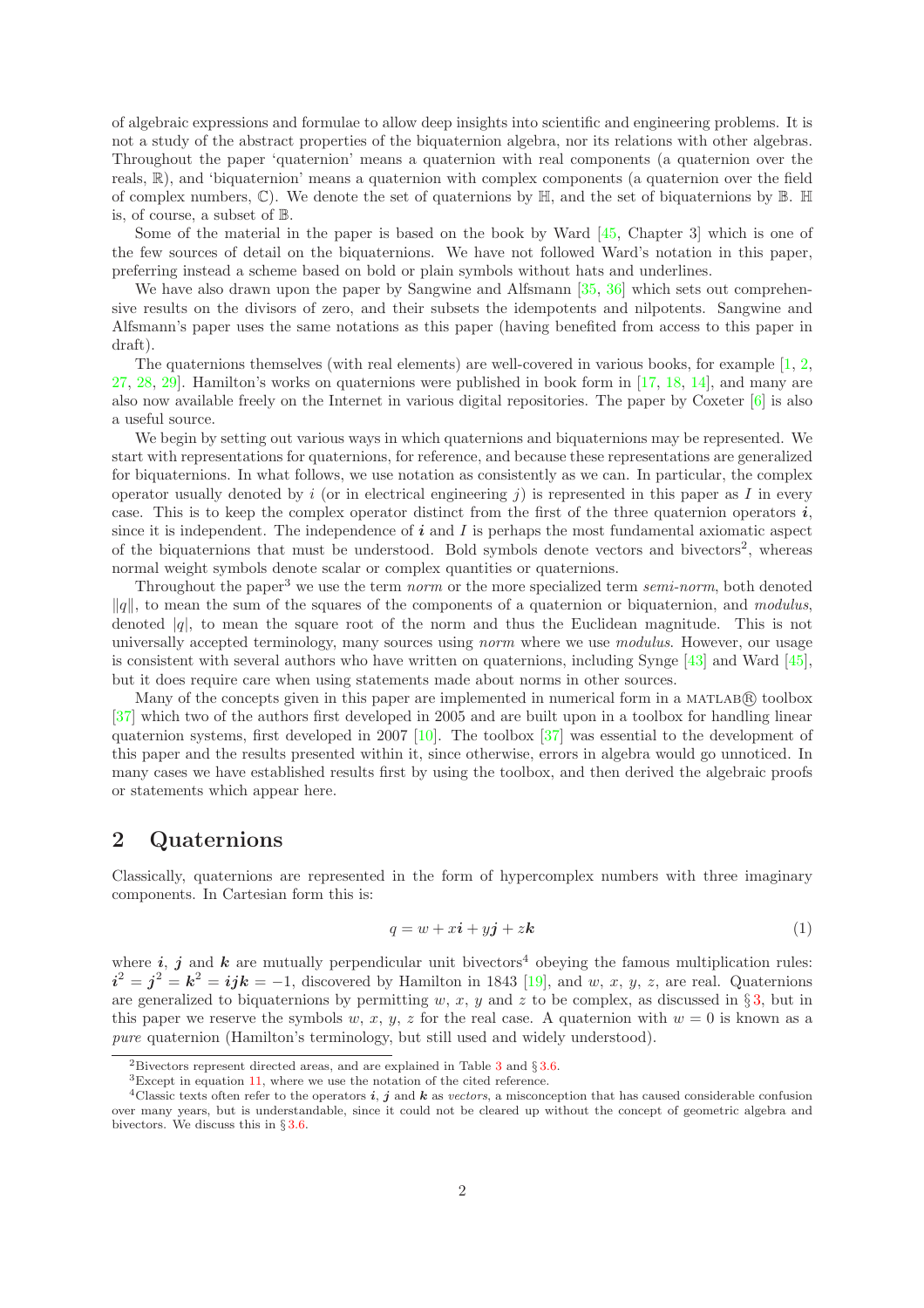of algebraic expressions and formulae to allow deep insights into scientific and engineering problems. It is not a study of the abstract properties of the biquaternion algebra, nor its relations with other algebras. Throughout the paper 'quaternion' means a quaternion with real components (a quaternion over the reals,  $\mathbb{R}$ ), and 'biquaternion' means a quaternion with complex components (a quaternion over the field of complex numbers,  $\mathbb{C}$ ). We denote the set of quaternions by  $\mathbb{H}$ , and the set of biquaternions by  $\mathbb{B}$ .  $\mathbb{H}$ is, of course, a subset of B.

Some of the material in the paper is based on the book by Ward [\[45,](#page-19-1) Chapter 3] which is one of the few sources of detail on the biquaternions. We have not followed Ward's notation in this paper, preferring instead a scheme based on bold or plain symbols without hats and underlines.

We have also drawn upon the paper by Sangwine and Alfsmann [\[35,](#page-18-0) [36\]](#page-18-1) which sets out comprehensive results on the divisors of zero, and their subsets the idempotents and nilpotents. Sangwine and Alfsmann's paper uses the same notations as this paper (having benefited from access to this paper in draft).

The quaternions themselves (with real elements) are well-covered in various books, for example  $[1, 2, 3]$  $[1, 2, 3]$  $[1, 2, 3]$ [27,](#page-18-2) [28,](#page-18-3) [29\]](#page-18-4). Hamilton's works on quaternions were published in book form in [\[17,](#page-17-1) [18,](#page-17-3) [14\]](#page-17-4), and many are also now available freely on the Internet in various digital repositories. The paper by Coxeter [\[6\]](#page-17-5) is also a useful source.

We begin by setting out various ways in which quaternions and biquaternions may be represented. We start with representations for quaternions, for reference, and because these representations are generalized for biquaternions. In what follows, we use notation as consistently as we can. In particular, the complex operator usually denoted by i (or in electrical engineering j) is represented in this paper as I in every case. This is to keep the complex operator distinct from the first of the three quaternion operators  $i$ , since it is independent. The independence of  $\boldsymbol{i}$  and  $\boldsymbol{I}$  is perhaps the most fundamental axiomatic aspect of the biquaternions that must be understood. Bold symbols denote vectors and bivectors<sup>2</sup>, whereas normal weight symbols denote scalar or complex quantities or quaternions.

Throughout the paper<sup>3</sup> we use the term norm or the more specialized term semi-norm, both denoted  $\|q\|$ , to mean the sum of the squares of the components of a quaternion or biquaternion, and modulus, denoted  $|q|$ , to mean the square root of the norm and thus the Euclidean magnitude. This is not universally accepted terminology, many sources using norm where we use modulus. However, our usage is consistent with several authors who have written on quaternions, including Synge [\[43\]](#page-19-0) and Ward [\[45\]](#page-19-1), but it does require care when using statements made about norms in other sources.

Many of the concepts given in this paper are implemented in numerical form in a MATLAB(R) toolbox [\[37\]](#page-18-5) which two of the authors first developed in 2005 and are built upon in a toolbox for handling linear quaternion systems, first developed in 2007 [\[10\]](#page-17-6). The toolbox  $|37|$  was essential to the development of this paper and the results presented within it, since otherwise, errors in algebra would go unnoticed. In many cases we have established results first by using the toolbox, and then derived the algebraic proofs or statements which appear here.

## <span id="page-1-1"></span>2 Quaternions

Classically, quaternions are represented in the form of hypercomplex numbers with three imaginary components. In Cartesian form this is:

<span id="page-1-0"></span>
$$
q = w + x\mathbf{i} + y\mathbf{j} + z\mathbf{k} \tag{1}
$$

where i, j and k are mutually perpendicular unit bivectors<sup>4</sup> obeying the famous multiplication rules:  $i^2 = j^2 = k^2 = ijk = -1$ , discovered by Hamilton in 1843 [\[19\]](#page-17-7), and w, x, y, z, are real. Quaternions are generalized to biquaternions by permitting w, x, y and z to be complex, as discussed in  $\S 3$ , but in this paper we reserve the symbols w, x, y, z for the real case. A quaternion with  $w = 0$  is known as a pure quaternion (Hamilton's terminology, but still used and widely understood).

<sup>&</sup>lt;sup>2</sup>Bivectors represent directed areas, and are explained in Table [3](#page-6-0) and  $\S 3.6$ .

<sup>3</sup>Except in equation [11,](#page-11-0) where we use the notation of the cited reference.

<sup>&</sup>lt;sup>4</sup>Classic texts often refer to the operators i, j and k as vectors, a misconception that has caused considerable confusion over many years, but is understandable, since it could not be cleared up without the concept of geometric algebra and bivectors. We discuss this in § [3.6.](#page-14-0)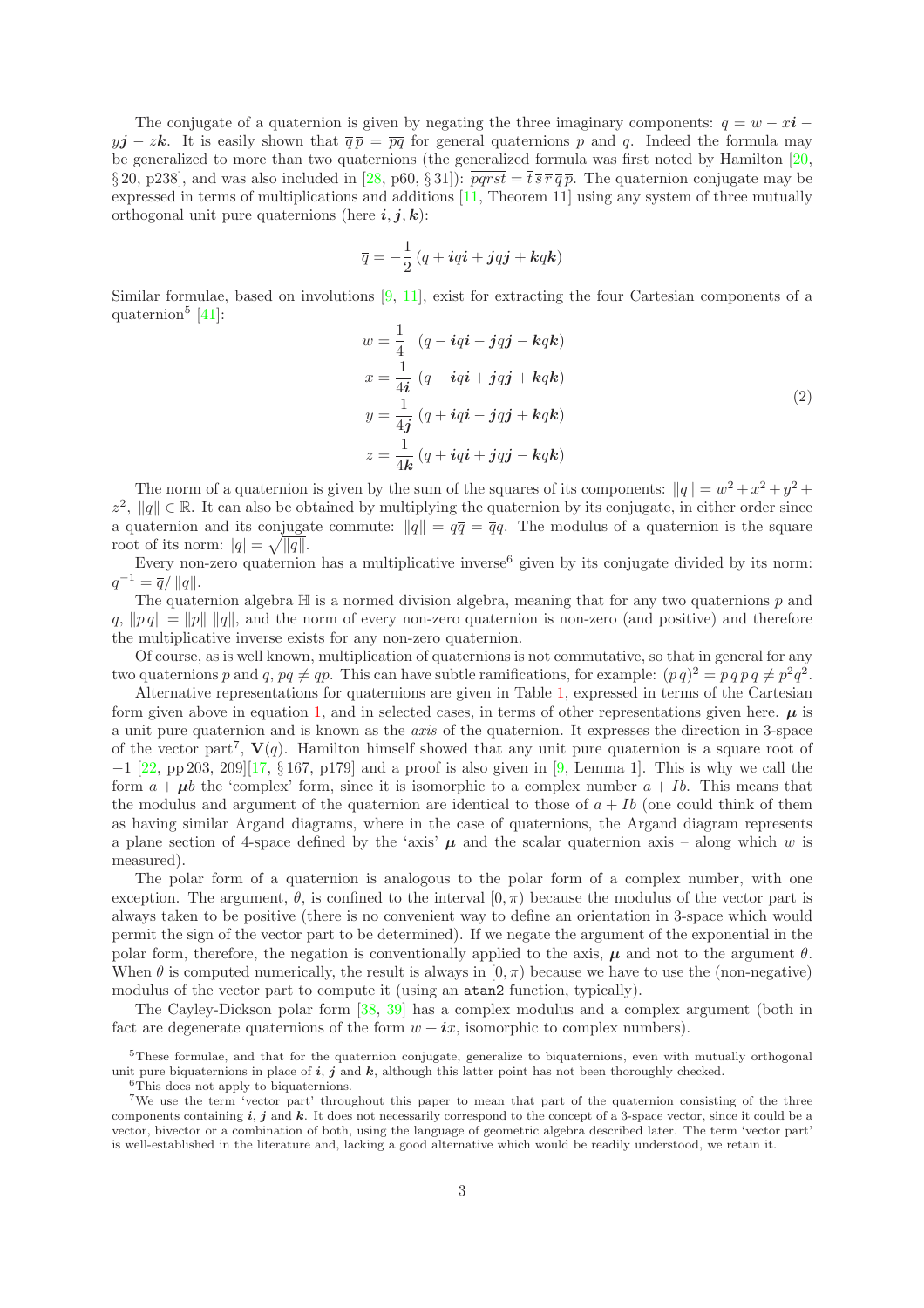The conjugate of a quaternion is given by negating the three imaginary components:  $\overline{q} = w - x\overline{i}$  $yj - zk$ . It is easily shown that  $\overline{q} \overline{p} = \overline{pq}$  for general quaternions p and q. Indeed the formula may be generalized to more than two quaternions (the generalized formula was first noted by Hamilton [\[20,](#page-17-8) § 20, p238], and was also included in [\[28,](#page-18-3) p60, § 31]):  $\overline{pqrst} = \overline{t} \overline{s} \overline{r} \overline{q} \overline{p}$ . The quaternion conjugate may be expressed in terms of multiplications and additions [\[11,](#page-17-9) Theorem 11] using any system of three mutually orthogonal unit pure quaternions (here  $i, j, k$ ):

$$
\overline{q} = -\frac{1}{2} \left( q + i q i + j q j + k q k \right)
$$

Similar formulae, based on involutions [\[9,](#page-17-10) [11\]](#page-17-9), exist for extracting the four Cartesian components of a quaternion<sup>5</sup> [\[41\]](#page-18-6):

<span id="page-2-0"></span>
$$
w = \frac{1}{4} \left( q - iqi - jqj - kqk \right)
$$
  
\n
$$
x = \frac{1}{4i} \left( q - iqi + jqj + kqk \right)
$$
  
\n
$$
y = \frac{1}{4j} \left( q + iqi - jqj + kqk \right)
$$
  
\n
$$
z = \frac{1}{4k} \left( q + iqi + jqj - kqk \right)
$$
\n(2)

The norm of a quaternion is given by the sum of the squares of its components:  $||q|| = w^2 + x^2 + y^2 +$  $z^2$ ,  $||q|| \in \mathbb{R}$ . It can also be obtained by multiplying the quaternion by its conjugate, in either order since a quaternion and its conjugate commute:  $||q|| = q\overline{q} = \overline{q}q$ . The modulus of a quaternion is the square root of its norm:  $|q| = \sqrt{\overline{|q|}}.$ 

Every non-zero quaternion has a multiplicative inverse<sup>6</sup> given by its conjugate divided by its norm:  $q^{-1} = \overline{q}/\Vert q \Vert.$ 

The quaternion algebra  $\mathbb H$  is a normed division algebra, meaning that for any two quaternions  $p$  and  $q, \|pq\| = \|p\| \|q\|$ , and the norm of every non-zero quaternion is non-zero (and positive) and therefore the multiplicative inverse exists for any non-zero quaternion.

Of course, as is well known, multiplication of quaternions is not commutative, so that in general for any two quaternions p and q,  $pq \neq qp$ . This can have subtle ramifications, for example:  $(p q)^2 = p q p q \neq p^2 q^2$ .

Alternative representations for quaternions are given in Table [1,](#page-3-1) expressed in terms of the Cartesian form given above in equation [1,](#page-1-0) and in selected cases, in terms of other representations given here.  $\mu$  is a unit pure quaternion and is known as the axis of the quaternion. It expresses the direction in 3-space of the vector part<sup>7</sup>,  $V(q)$ . Hamilton himself showed that any unit pure quaternion is a square root of  $-1$  [\[22,](#page-17-11) pp 203, 209][\[17,](#page-17-1) § 167, p179] and a proof is also given in [\[9,](#page-17-10) Lemma 1]. This is why we call the form  $a + \mu b$  the 'complex' form, since it is isomorphic to a complex number  $a + Ib$ . This means that the modulus and argument of the quaternion are identical to those of  $a + Ib$  (one could think of them as having similar Argand diagrams, where in the case of quaternions, the Argand diagram represents a plane section of 4-space defined by the 'axis'  $\mu$  and the scalar quaternion axis – along which w is measured).

The polar form of a quaternion is analogous to the polar form of a complex number, with one exception. The argument,  $\theta$ , is confined to the interval  $[0, \pi)$  because the modulus of the vector part is always taken to be positive (there is no convenient way to define an orientation in 3-space which would permit the sign of the vector part to be determined). If we negate the argument of the exponential in the polar form, therefore, the negation is conventionally applied to the axis,  $\mu$  and not to the argument  $\theta$ . When  $\theta$  is computed numerically, the result is always in  $[0, \pi)$  because we have to use the (non-negative) modulus of the vector part to compute it (using an atan2 function, typically).

The Cayley-Dickson polar form [\[38,](#page-18-7) [39\]](#page-18-8) has a complex modulus and a complex argument (both in fact are degenerate quaternions of the form  $w + ix$ , isomorphic to complex numbers).

<sup>5</sup>These formulae, and that for the quaternion conjugate, generalize to biquaternions, even with mutually orthogonal unit pure biquaternions in place of  $i, j$  and  $k$ , although this latter point has not been thoroughly checked.

<sup>&</sup>lt;sup>6</sup>This does not apply to biquaternions.

<sup>7</sup>We use the term 'vector part' throughout this paper to mean that part of the quaternion consisting of the three components containing  $i, j$  and  $k$ . It does not necessarily correspond to the concept of a 3-space vector, since it could be a vector, bivector or a combination of both, using the language of geometric algebra described later. The term 'vector part' is well-established in the literature and, lacking a good alternative which would be readily understood, we retain it.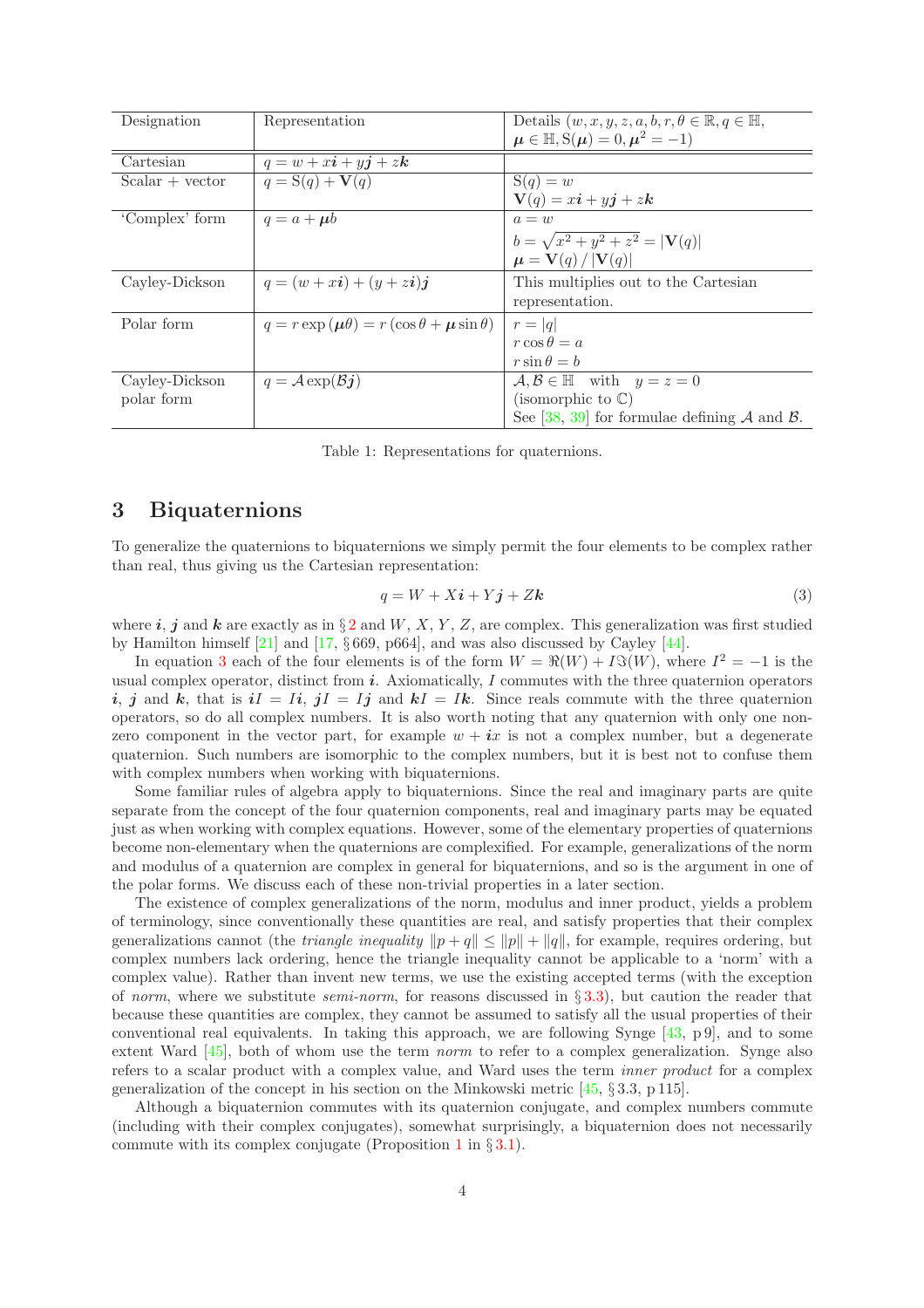| Designation       | Representation                                               | Details $(w, x, y, z, a, b, r, \theta \in \mathbb{R}, q \in \mathbb{H},$ |
|-------------------|--------------------------------------------------------------|--------------------------------------------------------------------------|
|                   |                                                              | $\mu \in \mathbb{H}, S(\mu) = 0, \mu^2 = -1$                             |
| Cartesian         | $q = w + xi + yj + zk$                                       |                                                                          |
| $Scalar + vector$ | $q = S(q) + V(q)$                                            | $S(q) = w$                                                               |
|                   |                                                              | $\mathbf{V}(q) = x\boldsymbol{i} + y\boldsymbol{j} + z\boldsymbol{k}$    |
| 'Complex' form    | $q = a + \mu b$                                              | $a=w$                                                                    |
|                   |                                                              | $b = \sqrt{x^2 + y^2 + z^2} =  V(q) $                                    |
|                   |                                                              | $\mu = V(q) /  V(q) $                                                    |
| Cayley-Dickson    | $q = (w + xi) + (y + zi)j$                                   | This multiplies out to the Cartesian                                     |
|                   |                                                              | representation.                                                          |
| Polar form        | $q = r \exp(\mu \theta) = r (\cos \theta + \mu \sin \theta)$ | $r= q $                                                                  |
|                   |                                                              | $r \cos \theta = a$                                                      |
|                   |                                                              | $r\sin\theta = b$                                                        |
| Cayley-Dickson    | $q = A \exp(\mathcal{B}j)$                                   | $\mathcal{A}, \mathcal{B} \in \mathbb{H}$ with $y = z = 0$               |
| polar form        |                                                              | (isomorphic to $\mathbb{C}$ )                                            |
|                   |                                                              | See [38, 39] for formulae defining $A$ and $B$ .                         |

<span id="page-3-1"></span>Table 1: Representations for quaternions.

## <span id="page-3-0"></span>3 Biquaternions

To generalize the quaternions to biquaternions we simply permit the four elements to be complex rather than real, thus giving us the Cartesian representation:

<span id="page-3-2"></span>
$$
q = W + X\mathbf{i} + Y\mathbf{j} + Z\mathbf{k} \tag{3}
$$

where i, j and k are exactly as in  $\S 2$  $\S 2$  and W, X, Y, Z, are complex. This generalization was first studied by Hamilton himself  $[21]$  and  $[17, §669, p664]$ , and was also discussed by Cayley  $[44]$ .

In equation [3](#page-3-2) each of the four elements is of the form  $W = \Re(W) + I\Im(W)$ , where  $I^2 = -1$  is the usual complex operator, distinct from  $i$ . Axiomatically,  $I$  commutes with the three quaternion operators i, j and k, that is  $iI = Ii$ ,  $jI = Ij$  and  $kI = Ik$ . Since reals commute with the three quaternion operators, so do all complex numbers. It is also worth noting that any quaternion with only one nonzero component in the vector part, for example  $w + ix$  is not a complex number, but a degenerate quaternion. Such numbers are isomorphic to the complex numbers, but it is best not to confuse them with complex numbers when working with biquaternions.

Some familiar rules of algebra apply to biquaternions. Since the real and imaginary parts are quite separate from the concept of the four quaternion components, real and imaginary parts may be equated just as when working with complex equations. However, some of the elementary properties of quaternions become non-elementary when the quaternions are complexified. For example, generalizations of the norm and modulus of a quaternion are complex in general for biquaternions, and so is the argument in one of the polar forms. We discuss each of these non-trivial properties in a later section.

The existence of complex generalizations of the norm, modulus and inner product, yields a problem of terminology, since conventionally these quantities are real, and satisfy properties that their complex generalizations cannot (the *triangle inequality*  $\|p + q\| \le \|p\| + \|q\|$ , for example, requires ordering, but complex numbers lack ordering, hence the triangle inequality cannot be applicable to a 'norm' with a complex value). Rather than invent new terms, we use the existing accepted terms (with the exception of norm, where we substitute *semi-norm*, for reasons discussed in  $\S 3.3$ ), but caution the reader that because these quantities are complex, they cannot be assumed to satisfy all the usual properties of their conventional real equivalents. In taking this approach, we are following Synge [\[43,](#page-19-0) p 9], and to some extent Ward [\[45\]](#page-19-1), both of whom use the term norm to refer to a complex generalization. Synge also refers to a scalar product with a complex value, and Ward uses the term inner product for a complex generalization of the concept in his section on the Minkowski metric  $[45, \S 3.3, p 115]$ .

Although a biquaternion commutes with its quaternion conjugate, and complex numbers commute (including with their complex conjugates), somewhat surprisingly, a biquaternion does not necessarily commute with its complex conjugate (Proposition [1](#page-7-0) in  $\S 3.1$ ).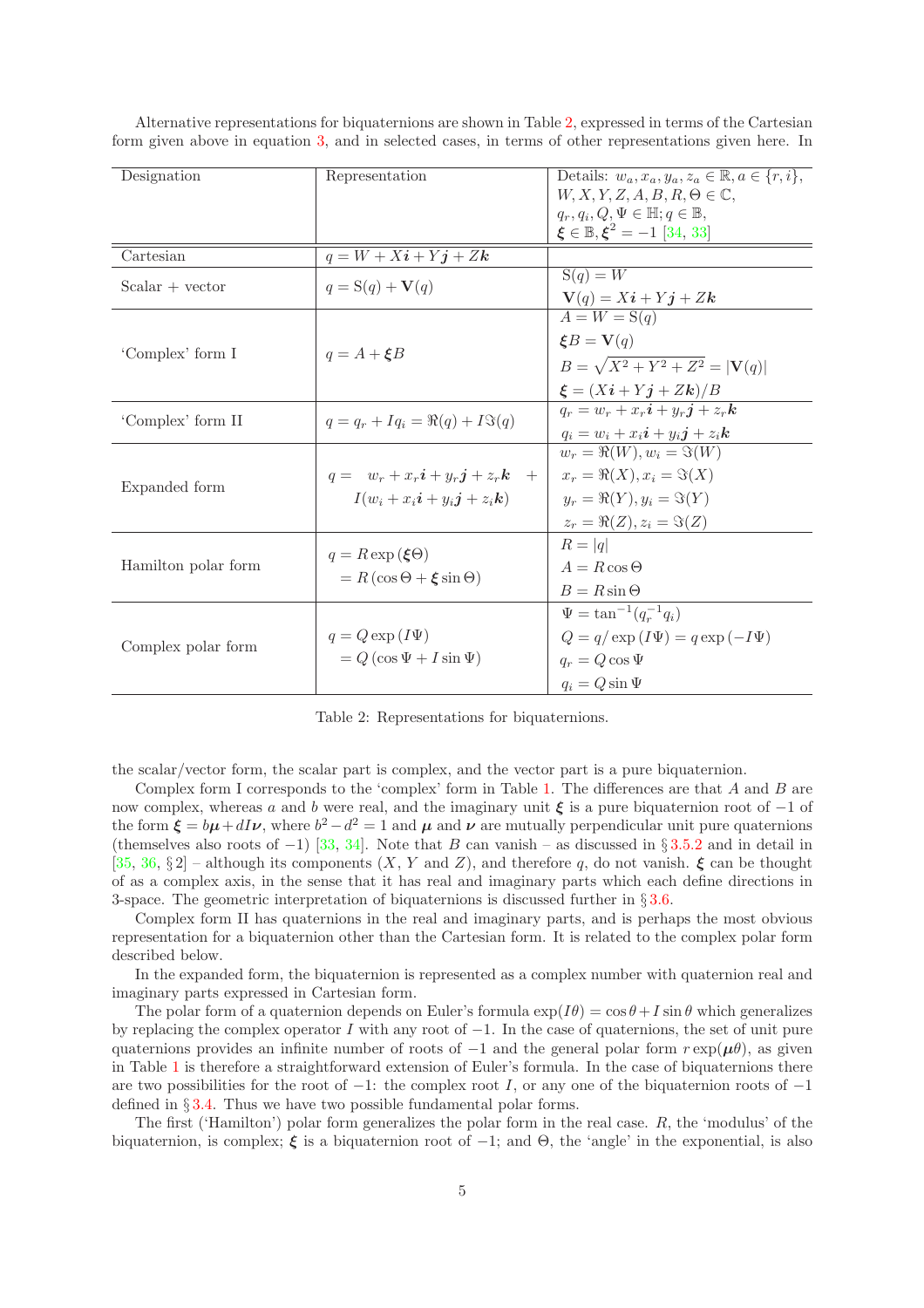| Designation         | Representation                                              | Details: $w_a, x_a, y_a, z_a \in \mathbb{R}, a \in \{r, i\},\$                                                                                                                                                                                                                                                                                                                                              |
|---------------------|-------------------------------------------------------------|-------------------------------------------------------------------------------------------------------------------------------------------------------------------------------------------------------------------------------------------------------------------------------------------------------------------------------------------------------------------------------------------------------------|
|                     |                                                             | $W, X, Y, Z, A, B, R, \Theta \in \mathbb{C},$<br>$q_r, q_i, Q, \Psi \in \mathbb{H}; q \in \mathbb{B},$                                                                                                                                                                                                                                                                                                      |
|                     |                                                             | $\xi \in \mathbb{B}, \xi^2 = -1$ [34, 33]                                                                                                                                                                                                                                                                                                                                                                   |
| Cartesian           | $q = W + Xi + \overline{Yj + Zh}$                           |                                                                                                                                                                                                                                                                                                                                                                                                             |
| $Scalar + vector$   | $q = S(q) + V(q)$                                           |                                                                                                                                                                                                                                                                                                                                                                                                             |
|                     |                                                             | $A = W = S(q)$                                                                                                                                                                                                                                                                                                                                                                                              |
|                     |                                                             | $\boldsymbol{\xi}B=\mathbf{V}(q)$                                                                                                                                                                                                                                                                                                                                                                           |
| 'Complex' form I    | $q = A + \mathcal{E}B$                                      | $B = \sqrt{X^2 + Y^2 + Z^2} =  V(q) $                                                                                                                                                                                                                                                                                                                                                                       |
|                     |                                                             | $\boldsymbol{\xi} = (X\boldsymbol{i} + Y\boldsymbol{j} + Z\boldsymbol{k})/B$                                                                                                                                                                                                                                                                                                                                |
| 'Complex' form II   | $q = q_r + Iq_i = \Re(q) + I \Im(q)$                        |                                                                                                                                                                                                                                                                                                                                                                                                             |
|                     |                                                             | $q_i = w_i + x_i \mathbf{i} + y_i \mathbf{j} + z_i \mathbf{k}$                                                                                                                                                                                                                                                                                                                                              |
|                     |                                                             |                                                                                                                                                                                                                                                                                                                                                                                                             |
| Expanded form       | $q = w_r + x_r i + y_r j + z_r k + 1$                       |                                                                                                                                                                                                                                                                                                                                                                                                             |
|                     | $I(w_i + x_i \mathbf{i} + y_i \mathbf{j} + z_i \mathbf{k})$ | $y_r = \Re(Y), y_i = \Im(Y)$                                                                                                                                                                                                                                                                                                                                                                                |
|                     |                                                             | $S(q) = W$<br>$\mathbf{V}(q) = X\mathbf{i} + Y\mathbf{j} + Z\mathbf{k}$<br>$q_r = w_r + x_r i + y_r j + z_r k$<br>$w_r = \overline{\Re(W), w_i = \Im(W)}$<br>$x_r = \Re(X), x_i = \Im(X)$<br>$z_r = \Re(Z), z_i = \Im(Z)$<br>$R =  q $<br>$A = R \cos \Theta$<br>$B=R\sin\Theta$<br>$\Psi = \tan^{-1}(q_r^{-1}q_i)$<br>$Q = q / \exp(I\Psi) = q \exp(-I\Psi)$<br>$q_r = Q \cos \Psi$<br>$q_i = Q \sin \Psi$ |
|                     | $q = R \exp(\xi \Theta)$                                    |                                                                                                                                                                                                                                                                                                                                                                                                             |
| Hamilton polar form | $= R(\cos \Theta + \xi \sin \Theta)$                        |                                                                                                                                                                                                                                                                                                                                                                                                             |
|                     |                                                             |                                                                                                                                                                                                                                                                                                                                                                                                             |
|                     |                                                             |                                                                                                                                                                                                                                                                                                                                                                                                             |
|                     | $q = Q \exp(I\Psi)$                                         |                                                                                                                                                                                                                                                                                                                                                                                                             |
| Complex polar form  | $= Q(\cos \Psi + I \sin \Psi)$                              |                                                                                                                                                                                                                                                                                                                                                                                                             |
|                     |                                                             |                                                                                                                                                                                                                                                                                                                                                                                                             |

Alternative representations for biquaternions are shown in Table [2,](#page-4-0) expressed in terms of the Cartesian form given above in equation [3,](#page-3-2) and in selected cases, in terms of other representations given here. In

<span id="page-4-0"></span>Table 2: Representations for biquaternions.

the scalar/vector form, the scalar part is complex, and the vector part is a pure biquaternion.

Complex form I corresponds to the 'complex' form in Table [1.](#page-3-1) The differences are that  $A$  and  $B$  are now complex, whereas a and b were real, and the imaginary unit  $\xi$  is a pure biquaternion root of  $-1$  of the form  $\xi = b\mu + dI\nu$ , where  $b^2 - d^2 = 1$  and  $\mu$  and  $\nu$  are mutually perpendicular unit pure quaternions (themselves also roots of -1) [\[33,](#page-18-10) [34\]](#page-18-9). Note that B can vanish – as discussed in §[3.5.2](#page-14-1) and in detail in [\[35,](#page-18-0) [36,](#page-18-1) § 2] – although its components  $(X, Y \text{ and } Z)$ , and therefore q, do not vanish.  $\boldsymbol{\xi}$  can be thought of as a complex axis, in the sense that it has real and imaginary parts which each define directions in 3-space. The geometric interpretation of biquaternions is discussed further in § [3.6.](#page-14-0)

Complex form II has quaternions in the real and imaginary parts, and is perhaps the most obvious representation for a biquaternion other than the Cartesian form. It is related to the complex polar form described below.

In the expanded form, the biquaternion is represented as a complex number with quaternion real and imaginary parts expressed in Cartesian form.

The polar form of a quaternion depends on Euler's formula  $\exp(I\theta) = \cos\theta + I\sin\theta$  which generalizes by replacing the complex operator I with any root of  $-1$ . In the case of quaternions, the set of unit pure quaternions provides an infinite number of roots of  $-1$  and the general polar form  $r \exp(\mu \theta)$ , as given in Table [1](#page-3-1) is therefore a straightforward extension of Euler's formula. In the case of biquaternions there are two possibilities for the root of  $-1$ : the complex root I, or any one of the biquaternion roots of  $-1$ defined in § [3.4.](#page-11-1) Thus we have two possible fundamental polar forms.

The first ('Hamilton') polar form generalizes the polar form in the real case. R, the 'modulus' of the biquaternion, is complex;  $\xi$  is a biquaternion root of  $-1$ ; and  $\Theta$ , the 'angle' in the exponential, is also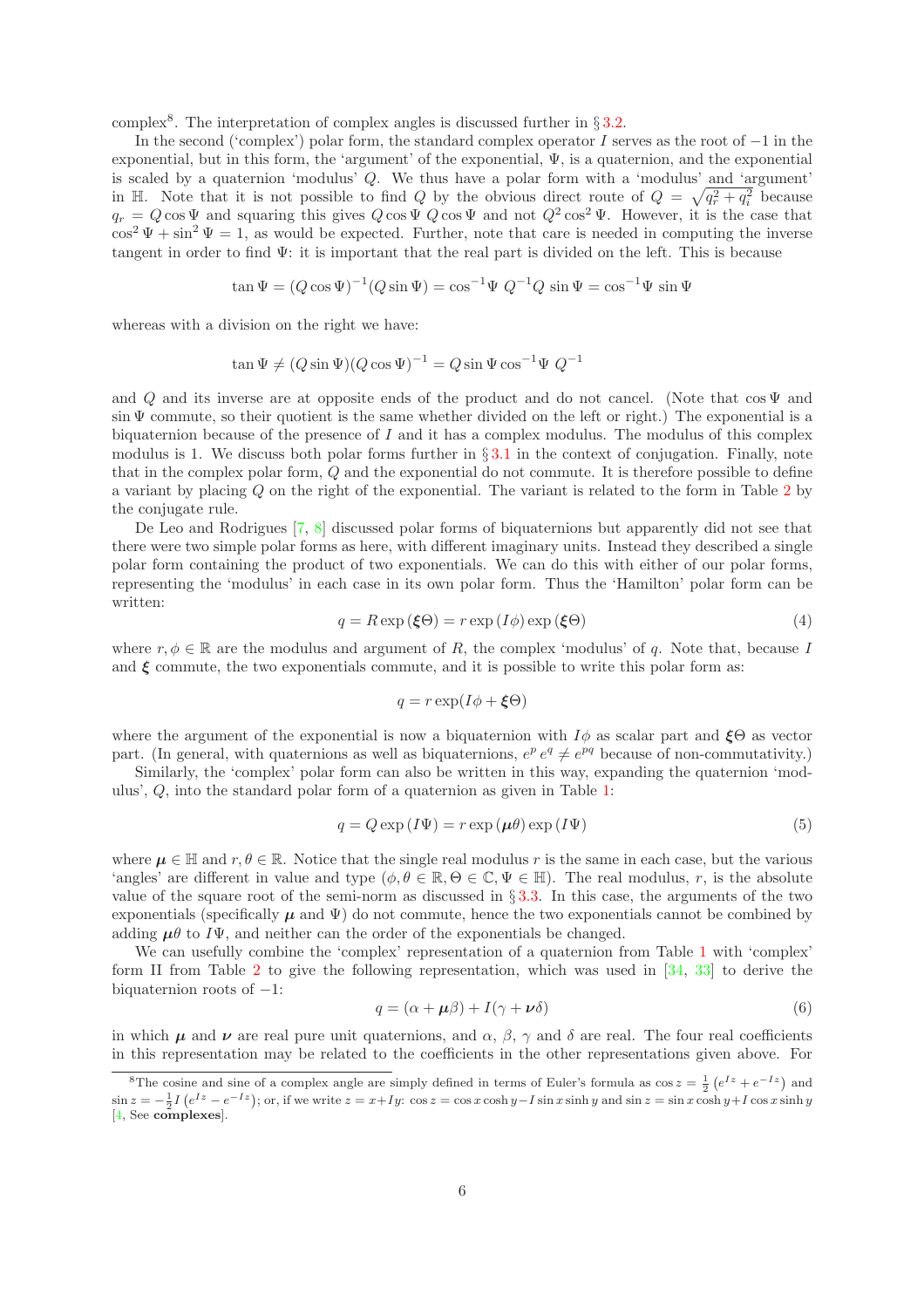complex<sup>8</sup>. The interpretation of complex angles is discussed further in  $\S 3.2$ .

In the second ('complex') polar form, the standard complex operator I serves as the root of −1 in the exponential, but in this form, the 'argument' of the exponential,  $\Psi$ , is a quaternion, and the exponential is scaled by a quaternion 'modulus' Q. We thus have a polar form with a 'modulus' and 'argument' in H. Note that it is not possible to find Q by the obvious direct route of  $Q = \sqrt{q_r^2 + q_i^2}$  because  $q_r = Q \cos \Psi$  and squaring this gives  $Q \cos \Psi Q \cos \Psi$  and not  $Q^2 \cos^2 \Psi$ . However, it is the case that  $\cos^2\Psi + \sin^2\Psi = 1$ , as would be expected. Further, note that care is needed in computing the inverse tangent in order to find  $\Psi$ : it is important that the real part is divided on the left. This is because

$$
\tan \Psi = (Q \cos \Psi)^{-1} (Q \sin \Psi) = \cos^{-1} \Psi \ Q^{-1} Q \sin \Psi = \cos^{-1} \Psi \sin \Psi
$$

whereas with a division on the right we have:

$$
\tan \Psi \neq (Q \sin \Psi)(Q \cos \Psi)^{-1} = Q \sin \Psi \cos^{-1} \Psi Q^{-1}
$$

and Q and its inverse are at opposite ends of the product and do not cancel. (Note that  $\cos \Psi$  and sin Ψ commute, so their quotient is the same whether divided on the left or right.) The exponential is a biquaternion because of the presence of  $I$  and it has a complex modulus. The modulus of this complex modulus is 1. We discuss both polar forms further in  $\S 3.1$  $\S 3.1$  in the context of conjugation. Finally, note that in the complex polar form, Q and the exponential do not commute. It is therefore possible to define a variant by placing Q on the right of the exponential. The variant is related to the form in Table [2](#page-4-0) by the conjugate rule.

De Leo and Rodrigues [\[7,](#page-17-12) [8\]](#page-17-13) discussed polar forms of biquaternions but apparently did not see that there were two simple polar forms as here, with different imaginary units. Instead they described a single polar form containing the product of two exponentials. We can do this with either of our polar forms, representing the 'modulus' in each case in its own polar form. Thus the 'Hamilton' polar form can be written:

<span id="page-5-1"></span>
$$
q = R \exp\left(\xi \Theta\right) = r \exp\left(I\phi\right) \exp\left(\xi \Theta\right) \tag{4}
$$

where  $r, \phi \in \mathbb{R}$  are the modulus and argument of R, the complex 'modulus' of q. Note that, because I and  $\xi$  commute, the two exponentials commute, and it is possible to write this polar form as:

$$
q = r \exp(I\phi + \xi\Theta)
$$

where the argument of the exponential is now a biquaternion with  $I\phi$  as scalar part and  $\xi\Theta$  as vector part. (In general, with quaternions as well as biquaternions,  $e^p e^q \neq e^{pq}$  because of non-commutativity.)

Similarly, the 'complex' polar form can also be written in this way, expanding the quaternion 'modulus', Q, into the standard polar form of a quaternion as given in Table [1:](#page-3-1)

<span id="page-5-2"></span>
$$
q = Q \exp(I\Psi) = r \exp(\mu \theta) \exp(I\Psi)
$$
\n<sup>(5)</sup>

where  $\mu \in \mathbb{H}$  and  $r, \theta \in \mathbb{R}$ . Notice that the single real modulus r is the same in each case, but the various 'angles' are different in value and type  $(\phi, \theta \in \mathbb{R}, \Theta \in \mathbb{C}, \Psi \in \mathbb{H})$ . The real modulus, r, is the absolute value of the square root of the semi-norm as discussed in  $\S 3.3$ . In this case, the arguments of the two exponentials (specifically  $\mu$  and  $\Psi$ ) do not commute, hence the two exponentials cannot be combined by adding  $\mu\theta$  to  $I\Psi$ , and neither can the order of the exponentials be changed.

We can usefully combine the 'complex' representation of a quaternion from Table [1](#page-3-1) with 'complex' form II from Table [2](#page-4-0) to give the following representation, which was used in  $[34, 33]$  $[34, 33]$  to derive the biquaternion roots of  $-1$ :

<span id="page-5-0"></span>
$$
q = (\alpha + \mu \beta) + I(\gamma + \nu \delta) \tag{6}
$$

in which  $\mu$  and  $\nu$  are real pure unit quaternions, and  $\alpha$ ,  $\beta$ ,  $\gamma$  and  $\delta$  are real. The four real coefficients in this representation may be related to the coefficients in the other representations given above. For

<sup>&</sup>lt;sup>8</sup>The cosine and sine of a complex angle are simply defined in terms of Euler's formula as  $\cos z = \frac{1}{2} (e^{Iz} + e^{-Iz})$  and  $\sin z = -\frac{1}{2}I(e^{Iz} - e^{-Iz})$ ; or, if we write  $z = x+Iy$ :  $\cos z = \cos x \cosh y - I \sin x \sinh y$  and  $\sin z = \sin x \cosh y + I \cos x \sinh y$ [\[4,](#page-16-2) See complexes].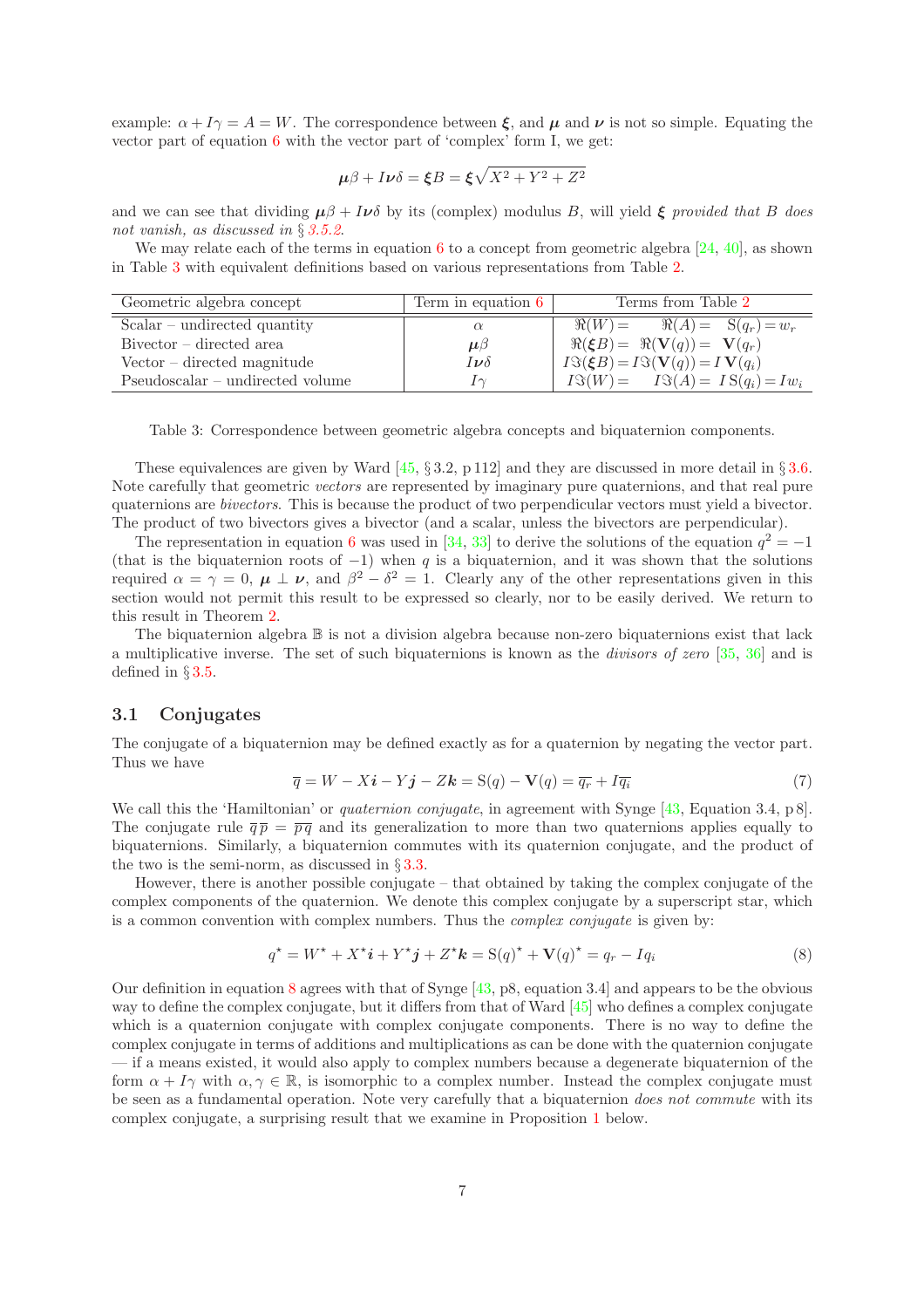example:  $\alpha + I\gamma = A = W$ . The correspondence between  $\xi$ , and  $\mu$  and  $\nu$  is not so simple. Equating the vector part of equation [6](#page-5-0) with the vector part of 'complex' form I, we get:

$$
\mu\beta + I\nu\delta = \xi B = \xi\sqrt{X^2 + Y^2 + Z^2}
$$

and we can see that dividing  $\mu \beta + I \nu \delta$  by its (complex) modulus B, will yield  $\xi$  provided that B does not vanish, as discussed in § [3.5.2](#page-14-1).

We may relate each of the terms in equation [6](#page-5-0) to a concept from geometric algebra  $[24, 40]$  $[24, 40]$ , as shown in Table [3](#page-6-0) with equivalent definitions based on various representations from Table [2.](#page-4-0)

| Geometric algebra concept        | Term in equation 6 | Terms from Table 2                                                       |  |  |
|----------------------------------|--------------------|--------------------------------------------------------------------------|--|--|
| $Scalar - undirected quantity$   | $\alpha$           | $\Re(W) = \Re(A) = S(q_r) = w_r$                                         |  |  |
| $Bivector$ – directed area       | $\mu\beta$         | $\Re(\xi B) = \Re(\mathbf{V}(q)) = \mathbf{V}(q_r)$                      |  |  |
| $Vector - directed magnitude$    | $I\nu\delta$       | $I\mathfrak{F}(\xi B) = I\mathfrak{F}(\mathbf{V}(q)) = I\mathbf{V}(q_i)$ |  |  |
| Pseudoscalar – undirected volume | $\sim$             | $I\mathfrak{V}(W) = I\mathfrak{V}(A) = IS(q_i) = Iw_i$                   |  |  |

<span id="page-6-0"></span>Table 3: Correspondence between geometric algebra concepts and biquaternion components.

These equivalences are given by Ward  $[45, \S 3.2, p 112]$  and they are discussed in more detail in  $\S 3.6$ . Note carefully that geometric vectors are represented by imaginary pure quaternions, and that real pure quaternions are bivectors. This is because the product of two perpendicular vectors must yield a bivector. The product of two bivectors gives a bivector (and a scalar, unless the bivectors are perpendicular).

The representation in equation [6](#page-5-0) was used in [\[34,](#page-18-9) [33\]](#page-18-10) to derive the solutions of the equation  $q^2 = -1$ (that is the biquaternion roots of  $-1$ ) when q is a biquaternion, and it was shown that the solutions required  $\alpha = \gamma = 0$ ,  $\mu \perp \nu$ , and  $\beta^2 - \delta^2 = 1$ . Clearly any of the other representations given in this section would not permit this result to be expressed so clearly, nor to be easily derived. We return to this result in Theorem [2.](#page-12-0)

The biquaternion algebra B is not a division algebra because non-zero biquaternions exist that lack a multiplicative inverse. The set of such biquaternions is known as the divisors of zero [\[35,](#page-18-0) [36\]](#page-18-1) and is defined in § [3.5.](#page-13-0)

## <span id="page-6-1"></span>3.1 Conjugates

The conjugate of a biquaternion may be defined exactly as for a quaternion by negating the vector part. Thus we have

$$
\overline{q} = W - X\mathbf{i} - Y\mathbf{j} - Z\mathbf{k} = S(q) - V(q) = \overline{q_r} + I\overline{q_i}
$$
\n(7)

We call this the 'Hamiltonian' or *quaternion conjugate*, in agreement with Synge [\[43,](#page-19-0) Equation 3.4, p 8]. The conjugate rule  $\overline{q} \overline{p} = \overline{p} \overline{q}$  and its generalization to more than two quaternions applies equally to biquaternions. Similarly, a biquaternion commutes with its quaternion conjugate, and the product of the two is the semi-norm, as discussed in  $\S 3.3$ .

However, there is another possible conjugate – that obtained by taking the complex conjugate of the complex components of the quaternion. We denote this complex conjugate by a superscript star, which is a common convention with complex numbers. Thus the *complex conjugate* is given by:

<span id="page-6-2"></span>
$$
q^* = W^* + X^* \mathbf{i} + Y^* \mathbf{j} + Z^* \mathbf{k} = \mathbf{S}(q)^* + \mathbf{V}(q)^* = q_r - Iq_i
$$
\n<sup>(8)</sup>

Our definition in equation [8](#page-6-2) agrees with that of Synge [\[43,](#page-19-0) p8, equation 3.4] and appears to be the obvious way to define the complex conjugate, but it differs from that of Ward [\[45\]](#page-19-1) who defines a complex conjugate which is a quaternion conjugate with complex conjugate components. There is no way to define the complex conjugate in terms of additions and multiplications as can be done with the quaternion conjugate — if a means existed, it would also apply to complex numbers because a degenerate biquaternion of the form  $\alpha + I\gamma$  with  $\alpha, \gamma \in \mathbb{R}$ , is isomorphic to a complex number. Instead the complex conjugate must be seen as a fundamental operation. Note very carefully that a biquaternion does not commute with its complex conjugate, a surprising result that we examine in Proposition [1](#page-7-0) below.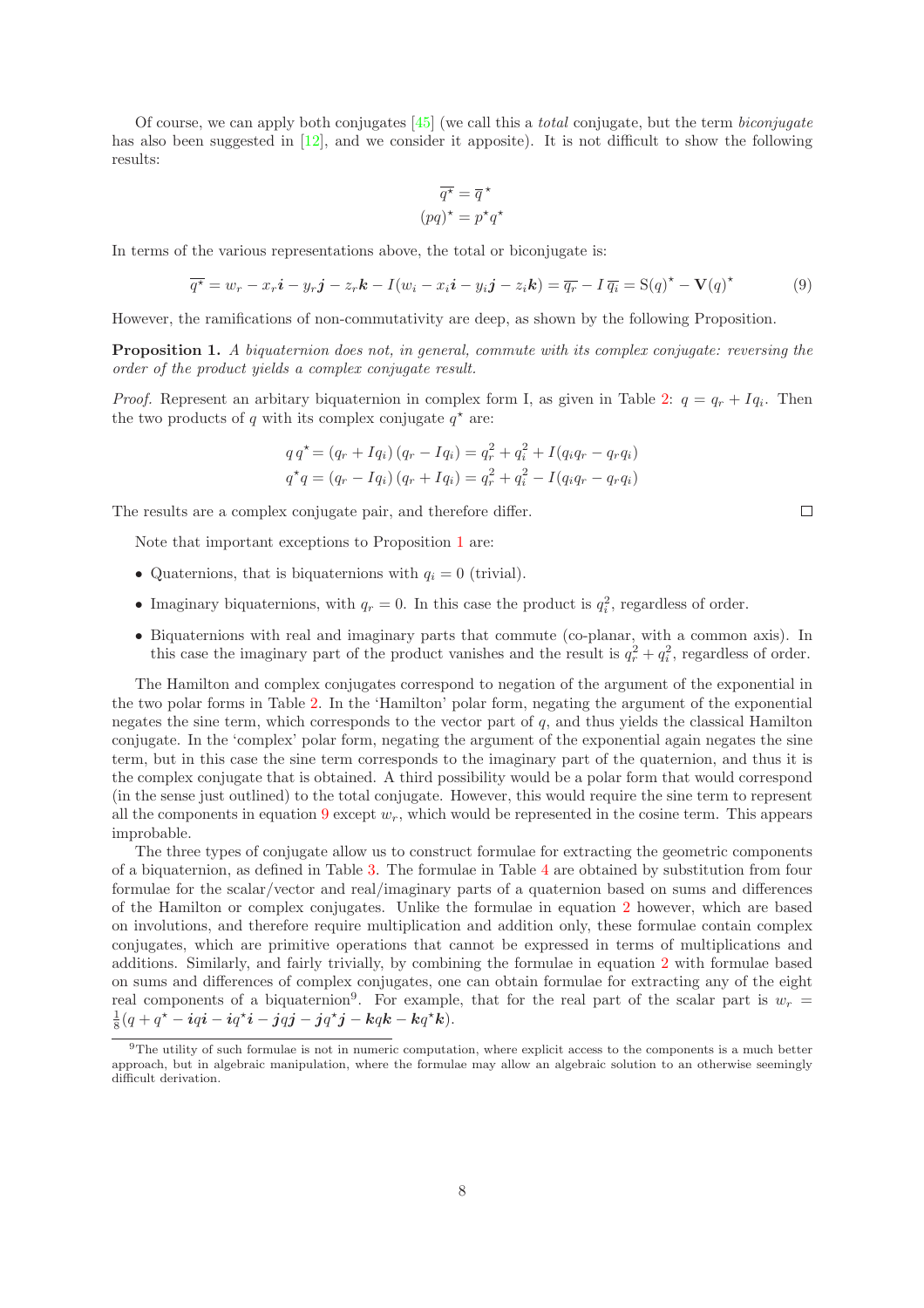Of course, we can apply both conjugates  $[45]$  (we call this a *total* conjugate, but the term *biconjugate* has also been suggested in [\[12\]](#page-17-15), and we consider it apposite). It is not difficult to show the following results:

$$
\overline{q^\star} = \overline{q}^\star
$$

$$
(pq)^\star = p^\star q^\star
$$

In terms of the various representations above, the total or biconjugate is:

<span id="page-7-1"></span>
$$
\overline{q^*} = w_r - x_r \mathbf{i} - y_r \mathbf{j} - z_r \mathbf{k} - I(w_i - x_i \mathbf{i} - y_i \mathbf{j} - z_i \mathbf{k}) = \overline{q_r} - I \overline{q_i} = S(q)^* - V(q)^*
$$
(9)

However, the ramifications of non-commutativity are deep, as shown by the following Proposition.

<span id="page-7-0"></span>Proposition 1. A biquaternion does not, in general, commute with its complex conjugate: reversing the order of the product yields a complex conjugate result.

*Proof.* Represent an arbitary biquaternion in complex form I, as given in Table [2:](#page-4-0)  $q = q_r + Iq_i$ . Then the two products of q with its complex conjugate  $q^*$  are:

$$
q q^* = (q_r + Iq_i) (q_r - Iq_i) = q_r^2 + q_i^2 + I(q_iq_r - q_rq_i)
$$
  

$$
q^* q = (q_r - Iq_i) (q_r + Iq_i) = q_r^2 + q_i^2 - I(q_iq_r - q_rq_i)
$$

The results are a complex conjugate pair, and therefore differ.

Note that important exceptions to Proposition [1](#page-7-0) are:

- Quaternions, that is biquaternions with  $q_i = 0$  (trivial).
- Imaginary biquaternions, with  $q_r = 0$ . In this case the product is  $q_i^2$ , regardless of order.
- Biquaternions with real and imaginary parts that commute (co-planar, with a common axis). In this case the imaginary part of the product vanishes and the result is  $q_r^2 + q_i^2$ , regardless of order.

The Hamilton and complex conjugates correspond to negation of the argument of the exponential in the two polar forms in Table [2.](#page-4-0) In the 'Hamilton' polar form, negating the argument of the exponential negates the sine term, which corresponds to the vector part of  $q$ , and thus yields the classical Hamilton conjugate. In the 'complex' polar form, negating the argument of the exponential again negates the sine term, but in this case the sine term corresponds to the imaginary part of the quaternion, and thus it is the complex conjugate that is obtained. A third possibility would be a polar form that would correspond (in the sense just outlined) to the total conjugate. However, this would require the sine term to represent all the components in equation [9](#page-7-1) except  $w_r$ , which would be represented in the cosine term. This appears improbable.

The three types of conjugate allow us to construct formulae for extracting the geometric components of a biquaternion, as defined in Table [3.](#page-6-0) The formulae in Table [4](#page-8-1) are obtained by substitution from four formulae for the scalar/vector and real/imaginary parts of a quaternion based on sums and differences of the Hamilton or complex conjugates. Unlike the formulae in equation [2](#page-2-0) however, which are based on involutions, and therefore require multiplication and addition only, these formulae contain complex conjugates, which are primitive operations that cannot be expressed in terms of multiplications and additions. Similarly, and fairly trivially, by combining the formulae in equation [2](#page-2-0) with formulae based on sums and differences of complex conjugates, one can obtain formulae for extracting any of the eight real components of a biquaternion<sup>9</sup>. For example, that for the real part of the scalar part is  $w_r =$  $\frac{1}{8}(q + q^* - iqi - iq^*i - jqj - jq^*j - kqk - kq^*k).$ 

 $\Box$ 

<sup>9</sup>The utility of such formulae is not in numeric computation, where explicit access to the components is a much better approach, but in algebraic manipulation, where the formulae may allow an algebraic solution to an otherwise seemingly difficult derivation.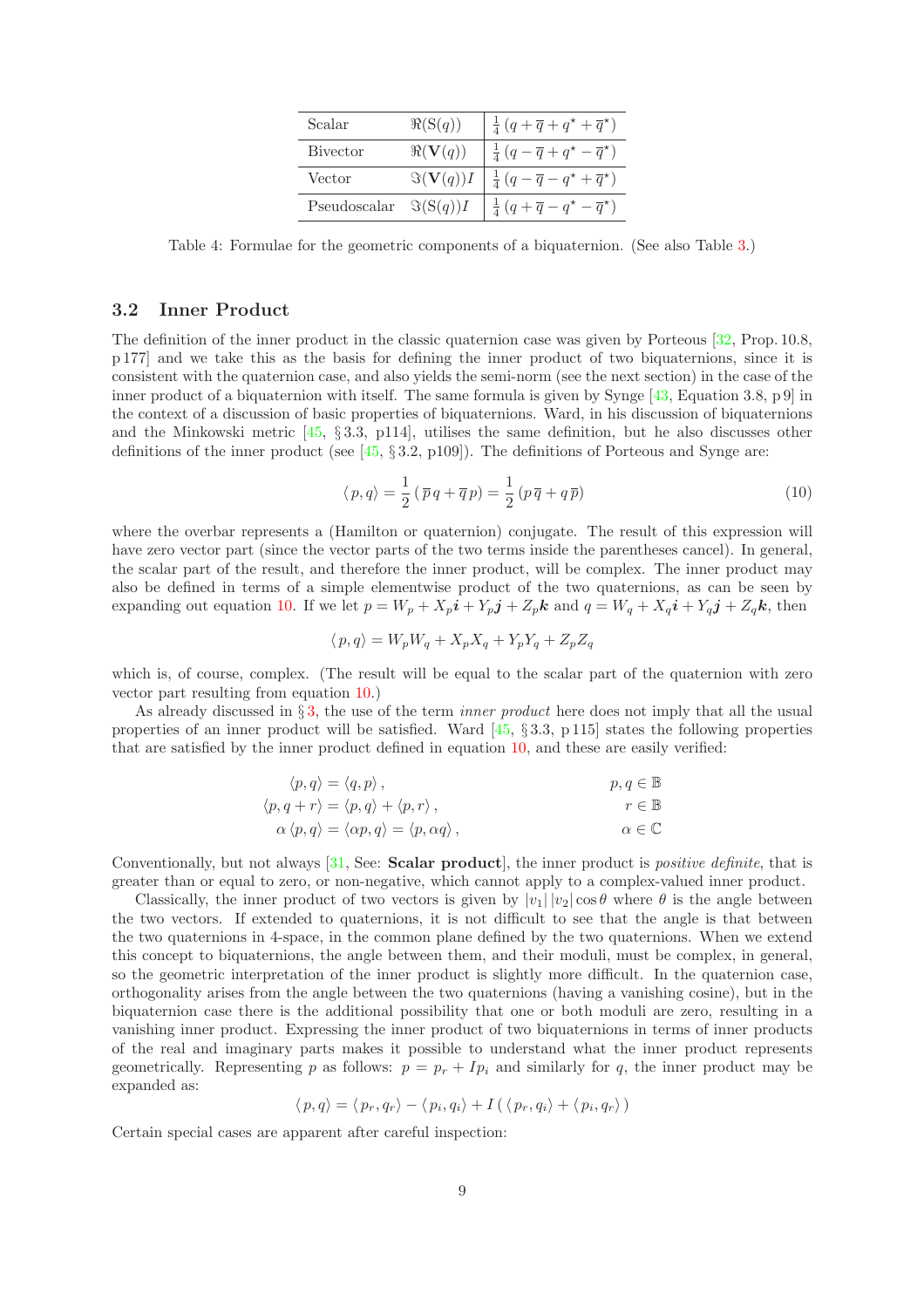| Scalar       | $\Re(S(q))$  | $\frac{1}{4}(q+\overline{q}+q^{\star}+\overline{q}^{\star})$ |
|--------------|--------------|--------------------------------------------------------------|
| Bivector     | $\Re(V(q))$  | $rac{1}{4}(q-\overline{q}+q^{\star}-\overline{q}^{\star})$   |
| Vector       | $\Im(V(q))I$ | $rac{1}{4}(q-\overline{q}-q^{\star}+\overline{q}^{\star})$   |
| Pseudoscalar | $\Im(S(q))I$ | $rac{1}{4}(q+\overline{q}-q^{\star}-\overline{q}^{\star})$   |

<span id="page-8-1"></span>Table 4: Formulae for the geometric components of a biquaternion. (See also Table [3.](#page-6-0))

### <span id="page-8-0"></span>3.2 Inner Product

The definition of the inner product in the classic quaternion case was given by Porteous [\[32,](#page-18-12) Prop. 10.8, p 177] and we take this as the basis for defining the inner product of two biquaternions, since it is consistent with the quaternion case, and also yields the semi-norm (see the next section) in the case of the inner product of a biquaternion with itself. The same formula is given by Synge  $[43,$  Equation 3.8, p 9] in the context of a discussion of basic properties of biquaternions. Ward, in his discussion of biquaternions and the Minkowski metric [\[45,](#page-19-1) § 3.3, p114], utilises the same definition, but he also discusses other definitions of the inner product (see [\[45,](#page-19-1) § 3.2, p109]). The definitions of Porteous and Synge are:

<span id="page-8-2"></span>
$$
\langle p, q \rangle = \frac{1}{2} \left( \overline{p} q + \overline{q} p \right) = \frac{1}{2} \left( p \overline{q} + q \overline{p} \right)
$$
 (10)

where the overbar represents a (Hamilton or quaternion) conjugate. The result of this expression will have zero vector part (since the vector parts of the two terms inside the parentheses cancel). In general, the scalar part of the result, and therefore the inner product, will be complex. The inner product may also be defined in terms of a simple elementwise product of the two quaternions, as can be seen by expanding out equation [10.](#page-8-2) If we let  $p = W_p + X_p i + Y_p j + Z_p k$  and  $q = W_q + X_q i + Y_q j + Z_q k$ , then

$$
\langle p, q \rangle = W_p W_q + X_p X_q + Y_p Y_q + Z_p Z_q
$$

which is, of course, complex. (The result will be equal to the scalar part of the quaternion with zero vector part resulting from equation [10.](#page-8-2))

As already discussed in  $\S$ [3,](#page-3-0) the use of the term *inner product* here does not imply that all the usual properties of an inner product will be satisfied. Ward  $[45, §3.3, p 115]$  states the following properties that are satisfied by the inner product defined in equation [10,](#page-8-2) and these are easily verified:

$$
\langle p, q \rangle = \langle q, p \rangle, \n\langle p, q + r \rangle = \langle p, q \rangle + \langle p, r \rangle, \n\alpha \langle p, q \rangle = \langle \alpha p, q \rangle = \langle p, \alpha q \rangle, \n\alpha \in \mathbb{C}
$$

Conventionally, but not always [\[31,](#page-18-13) See: Scalar product], the inner product is *positive definite*, that is greater than or equal to zero, or non-negative, which cannot apply to a complex-valued inner product.

Classically, the inner product of two vectors is given by  $|v_1| |v_2| \cos \theta$  where  $\theta$  is the angle between the two vectors. If extended to quaternions, it is not difficult to see that the angle is that between the two quaternions in 4-space, in the common plane defined by the two quaternions. When we extend this concept to biquaternions, the angle between them, and their moduli, must be complex, in general, so the geometric interpretation of the inner product is slightly more difficult. In the quaternion case, orthogonality arises from the angle between the two quaternions (having a vanishing cosine), but in the biquaternion case there is the additional possibility that one or both moduli are zero, resulting in a vanishing inner product. Expressing the inner product of two biquaternions in terms of inner products of the real and imaginary parts makes it possible to understand what the inner product represents geometrically. Representing p as follows:  $p = p_r + Ip_i$  and similarly for q, the inner product may be expanded as:

$$
\langle p, q \rangle = \langle p_r, q_r \rangle - \langle p_i, q_i \rangle + I(\langle p_r, q_i \rangle + \langle p_i, q_r \rangle)
$$

Certain special cases are apparent after careful inspection: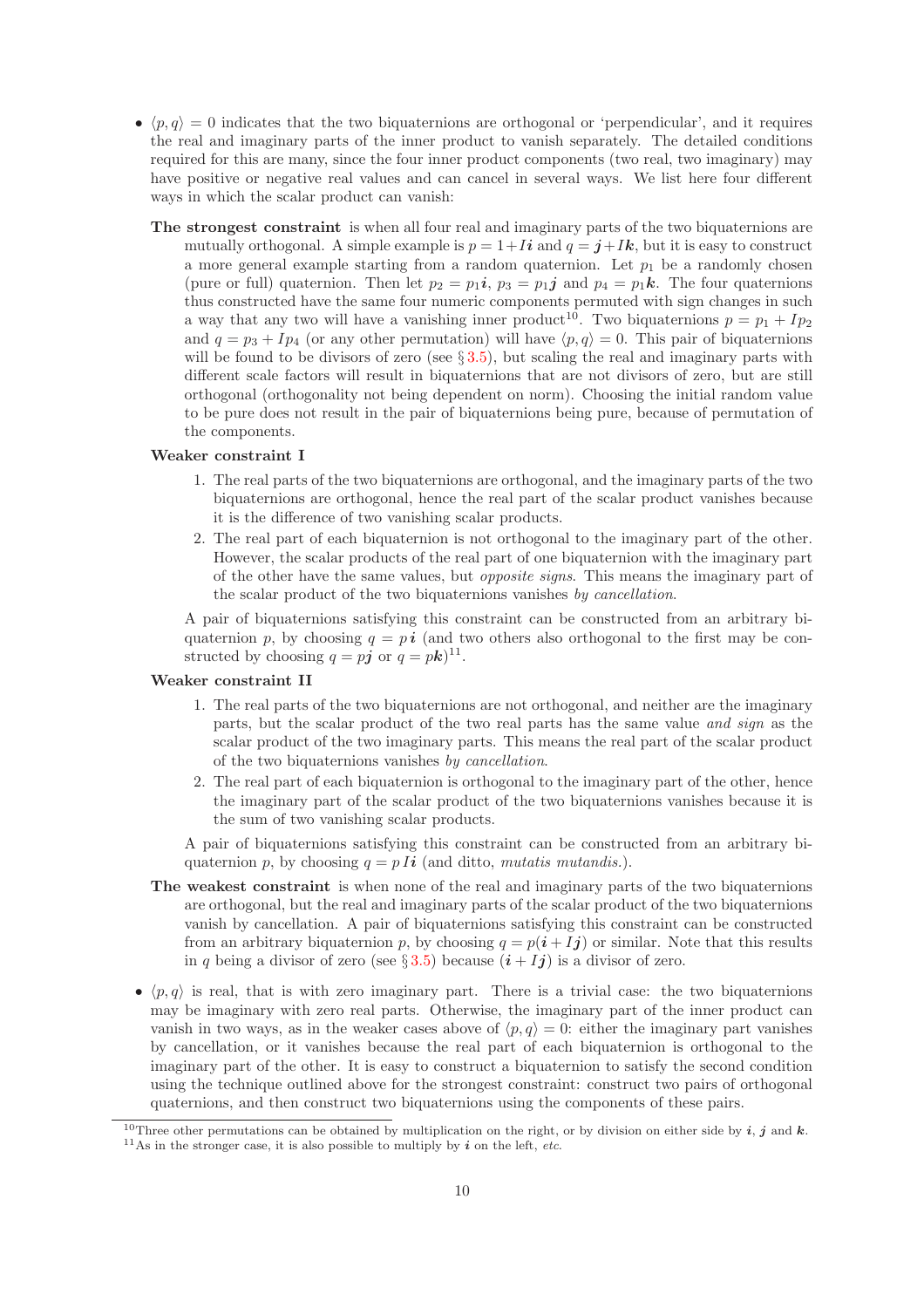- $\langle p, q \rangle = 0$  indicates that the two biquaternions are orthogonal or 'perpendicular', and it requires the real and imaginary parts of the inner product to vanish separately. The detailed conditions required for this are many, since the four inner product components (two real, two imaginary) may have positive or negative real values and can cancel in several ways. We list here four different ways in which the scalar product can vanish:
	- The strongest constraint is when all four real and imaginary parts of the two biquaternions are mutually orthogonal. A simple example is  $p = 1+I\mathbf{i}$  and  $q = \mathbf{j}+I\mathbf{k}$ , but it is easy to construct a more general example starting from a random quaternion. Let  $p_1$  be a randomly chosen (pure or full) quaternion. Then let  $p_2 = p_1 i$ ,  $p_3 = p_1 i$  and  $p_4 = p_1 k$ . The four quaternions thus constructed have the same four numeric components permuted with sign changes in such a way that any two will have a vanishing inner product<sup>10</sup>. Two biquaternions  $p = p_1 + Ip_2$ and  $q = p_3 + Ip_4$  (or any other permutation) will have  $\langle p, q \rangle = 0$ . This pair of biquaternions will be found to be divisors of zero (see  $\S 3.5$ ), but scaling the real and imaginary parts with different scale factors will result in biquaternions that are not divisors of zero, but are still orthogonal (orthogonality not being dependent on norm). Choosing the initial random value to be pure does not result in the pair of biquaternions being pure, because of permutation of the components.

#### Weaker constraint I

- 1. The real parts of the two biquaternions are orthogonal, and the imaginary parts of the two biquaternions are orthogonal, hence the real part of the scalar product vanishes because it is the difference of two vanishing scalar products.
- 2. The real part of each biquaternion is not orthogonal to the imaginary part of the other. However, the scalar products of the real part of one biquaternion with the imaginary part of the other have the same values, but opposite signs. This means the imaginary part of the scalar product of the two biquaternions vanishes by cancellation.

A pair of biquaternions satisfying this constraint can be constructed from an arbitrary biquaternion p, by choosing  $q = p \, \mathbf{i}$  (and two others also orthogonal to the first may be constructed by choosing  $q = pj$  or  $q = pk$ <sup>11</sup>.

#### Weaker constraint II

- 1. The real parts of the two biquaternions are not orthogonal, and neither are the imaginary parts, but the scalar product of the two real parts has the same value and sign as the scalar product of the two imaginary parts. This means the real part of the scalar product of the two biquaternions vanishes by cancellation.
- 2. The real part of each biquaternion is orthogonal to the imaginary part of the other, hence the imaginary part of the scalar product of the two biquaternions vanishes because it is the sum of two vanishing scalar products.

A pair of biquaternions satisfying this constraint can be constructed from an arbitrary biquaternion p, by choosing  $q = p I i$  (and ditto, mutatis mutandis.).

- The weakest constraint is when none of the real and imaginary parts of the two biquaternions are orthogonal, but the real and imaginary parts of the scalar product of the two biquaternions vanish by cancellation. A pair of biquaternions satisfying this constraint can be constructed from an arbitrary biquaternion p, by choosing  $q = p(i + Ij)$  or similar. Note that this results in q being a divisor of zero (see § [3.5\)](#page-13-0) because  $(i + Ij)$  is a divisor of zero.
- $\langle p, q \rangle$  is real, that is with zero imaginary part. There is a trivial case: the two biquaternions may be imaginary with zero real parts. Otherwise, the imaginary part of the inner product can vanish in two ways, as in the weaker cases above of  $\langle p, q \rangle = 0$ : either the imaginary part vanishes by cancellation, or it vanishes because the real part of each biquaternion is orthogonal to the imaginary part of the other. It is easy to construct a biquaternion to satisfy the second condition using the technique outlined above for the strongest constraint: construct two pairs of orthogonal quaternions, and then construct two biquaternions using the components of these pairs.

<sup>&</sup>lt;sup>10</sup>Three other permutations can be obtained by multiplication on the right, or by division on either side by *i*, *i* and *k*. <sup>11</sup>As in the stronger case, it is also possible to multiply by  $i$  on the left, *etc*.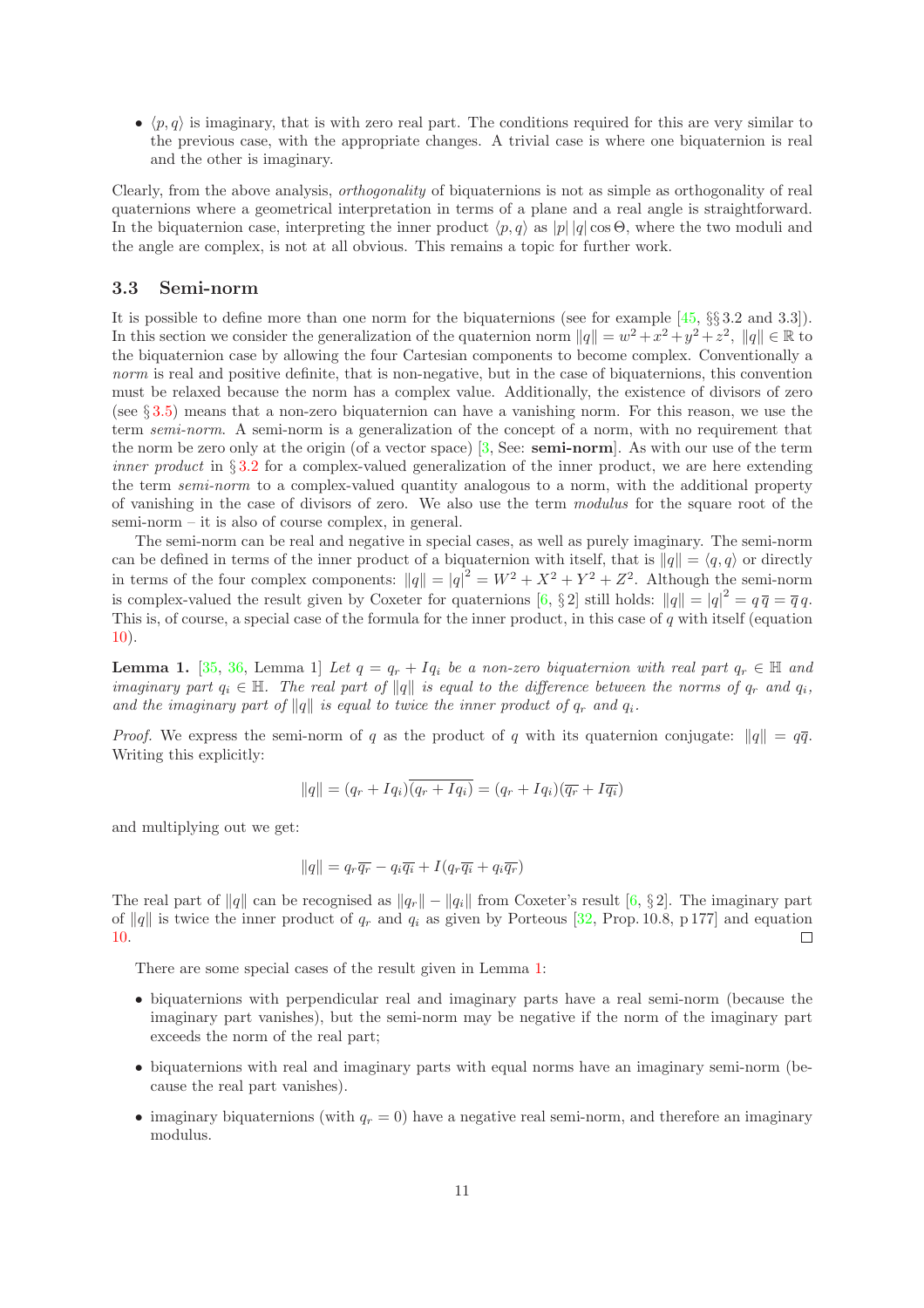•  $\langle p, q \rangle$  is imaginary, that is with zero real part. The conditions required for this are very similar to the previous case, with the appropriate changes. A trivial case is where one biquaternion is real and the other is imaginary.

Clearly, from the above analysis, orthogonality of biquaternions is not as simple as orthogonality of real quaternions where a geometrical interpretation in terms of a plane and a real angle is straightforward. In the biquaternion case, interpreting the inner product  $\langle p, q \rangle$  as  $|p| |q| \cos \Theta$ , where the two moduli and the angle are complex, is not at all obvious. This remains a topic for further work.

#### <span id="page-10-0"></span>3.3 Semi-norm

It is possible to define more than one norm for the biquaternions (see for example [\[45,](#page-19-1) §§ 3.2 and 3.3]). In this section we consider the generalization of the quaternion norm  $||q|| = w^2 + x^2 + y^2 + z^2$ ,  $||q|| \in \mathbb{R}$  to the biquaternion case by allowing the four Cartesian components to become complex. Conventionally a norm is real and positive definite, that is non-negative, but in the case of biquaternions, this convention must be relaxed because the norm has a complex value. Additionally, the existence of divisors of zero (see § [3.5\)](#page-13-0) means that a non-zero biquaternion can have a vanishing norm. For this reason, we use the term *semi-norm*. A semi-norm is a generalization of the concept of a norm, with no requirement that the norm be zero only at the origin (of a vector space) [\[3,](#page-16-3) See: semi-norm]. As with our use of the term *inner product* in  $\S 3.2$  $\S 3.2$  for a complex-valued generalization of the inner product, we are here extending the term semi-norm to a complex-valued quantity analogous to a norm, with the additional property of vanishing in the case of divisors of zero. We also use the term modulus for the square root of the semi-norm – it is also of course complex, in general.

The semi-norm can be real and negative in special cases, as well as purely imaginary. The semi-norm can be defined in terms of the inner product of a biquaternion with itself, that is  $||q|| = \langle q, q \rangle$  or directly in terms of the four complex components:  $||q|| = |q|^2 = W^2 + X^2 + Y^2 + Z^2$ . Although the semi-norm is complex-valued the result given by Coxeter for quaternions [\[6,](#page-17-5) § 2] still holds:  $||q|| = |q|^2 = q\overline{q} = \overline{q}q$ . This is, of course, a special case of the formula for the inner product, in this case of  $q$  with itself (equation [10\)](#page-8-2).

<span id="page-10-1"></span>**Lemma 1.** [\[35,](#page-18-0) [36,](#page-18-1) Lemma 1] Let  $q = q_r + Iq_i$  be a non-zero biquaternion with real part  $q_r \in \mathbb{H}$  and imaginary part  $q_i \in \mathbb{H}$ . The real part of  $||q||$  is equal to the difference between the norms of  $q_r$  and  $q_i$ , and the imaginary part of  $||q||$  is equal to twice the inner product of  $q_r$  and  $q_i$ .

*Proof.* We express the semi-norm of q as the product of q with its quaternion conjugate:  $||q|| = q\overline{q}$ . Writing this explicitly:

$$
||q|| = (q_r + Iq_i)\overline{(q_r + Iq_i)} = (q_r + Iq_i)(\overline{q_r} + I\overline{q_i})
$$

and multiplying out we get:

$$
||q|| = q_r \overline{q_r} - q_i \overline{q_i} + I(q_r \overline{q_i} + q_i \overline{q_r})
$$

The real part of  $||q||$  can be recognised as  $||q_r|| - ||q_i||$  from Coxeter's result [\[6,](#page-17-5) § 2]. The imaginary part of  $||q||$  is twice the inner product of  $q_r$  and  $q_i$  as given by Porteous [\[32,](#page-18-12) Prop. 10.8, p 177] and equation 10. [10.](#page-8-2)

There are some special cases of the result given in Lemma [1:](#page-10-1)

- biquaternions with perpendicular real and imaginary parts have a real semi-norm (because the imaginary part vanishes), but the semi-norm may be negative if the norm of the imaginary part exceeds the norm of the real part;
- biquaternions with real and imaginary parts with equal norms have an imaginary semi-norm (because the real part vanishes).
- imaginary biquaternions (with  $q_r = 0$ ) have a negative real semi-norm, and therefore an imaginary modulus.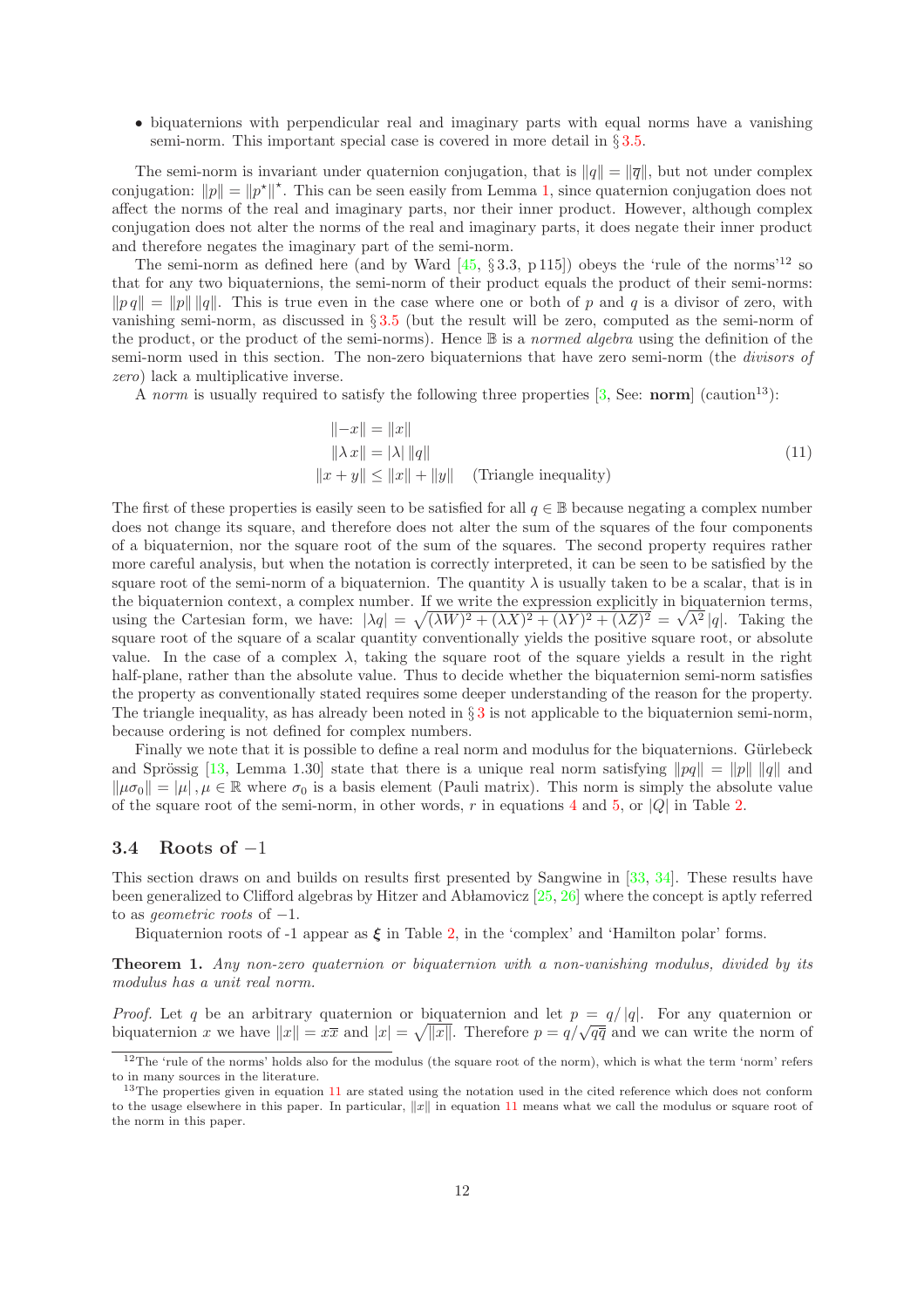• biquaternions with perpendicular real and imaginary parts with equal norms have a vanishing semi-norm. This important special case is covered in more detail in § [3.5.](#page-13-0)

The semi-norm is invariant under quaternion conjugation, that is  $\|q\| = \|\overline{q}\|$ , but not under complex conjugation:  $||p|| = ||p^*||^*$ . This can be seen easily from Lemma [1,](#page-10-1) since quaternion conjugation does not affect the norms of the real and imaginary parts, nor their inner product. However, although complex conjugation does not alter the norms of the real and imaginary parts, it does negate their inner product and therefore negates the imaginary part of the semi-norm.

The semi-norm as defined here (and by Ward  $[45, §3.3, p 115]$ ) obeys the 'rule of the norms'<sup>12</sup> so that for any two biquaternions, the semi-norm of their product equals the product of their semi-norms:  $\|pq\| = \|p\| \|q\|$ . This is true even in the case where one or both of p and q is a divisor of zero, with vanishing semi-norm, as discussed in § [3.5](#page-13-0) (but the result will be zero, computed as the semi-norm of the product, or the product of the semi-norms). Hence  $\mathbb B$  is a normed algebra using the definition of the semi-norm used in this section. The non-zero biquaternions that have zero semi-norm (the divisors of zero) lack a multiplicative inverse.

A norm is usually required to satisfy the following three properties  $[3, \text{See} : \text{norm}]$  (caution<sup>13</sup>):

<span id="page-11-0"></span>
$$
||-x|| = ||x||||\lambda x|| = |\lambda| ||q||
$$
 (11)  

$$
||x + y|| \le ||x|| + ||y||
$$
 (Triangle inequality)

The first of these properties is easily seen to be satisfied for all  $q \in \mathbb{B}$  because negating a complex number does not change its square, and therefore does not alter the sum of the squares of the four components of a biquaternion, nor the square root of the sum of the squares. The second property requires rather more careful analysis, but when the notation is correctly interpreted, it can be seen to be satisfied by the square root of the semi-norm of a biquaternion. The quantity  $\lambda$  is usually taken to be a scalar, that is in the biquaternion context, a complex number. If we write the expression explicitly in biquaternion terms, using the Cartesian form, we have:  $|\lambda q| = \sqrt{(\lambda W)^2 + (\lambda X)^2 + (\lambda Y)^2 + (\lambda Z)^2} = \sqrt{\lambda^2} |q|$ . Taking the square root of the square of a scalar quantity conventionally yields the positive square root, or absolute value. In the case of a complex  $\lambda$ , taking the square root of the square yields a result in the right half-plane, rather than the absolute value. Thus to decide whether the biquaternion semi-norm satisfies the property as conventionally stated requires some deeper understanding of the reason for the property. The triangle inequality, as has already been noted in  $\S 3$  $\S 3$  is not applicable to the biquaternion semi-norm, because ordering is not defined for complex numbers.

Finally we note that it is possible to define a real norm and modulus for the biquaternions. Gürlebeck and Sprössig [\[13,](#page-17-16) Lemma 1.30] state that there is a unique real norm satisfying  $||pq|| = ||p|| ||q||$  and  $\|\mu\sigma_0\| = |\mu|, \mu \in \mathbb{R}$  where  $\sigma_0$  is a basis element (Pauli matrix). This norm is simply the absolute value of the square root of the semi-norm, in other words, r in equations [4](#page-5-1) and [5,](#page-5-2) or  $|Q|$  in Table [2.](#page-4-0)

## <span id="page-11-1"></span>3.4 Roots of  $-1$

This section draws on and builds on results first presented by Sangwine in [\[33,](#page-18-10) [34\]](#page-18-9). These results have been generalized to Clifford algebras by Hitzer and Ab lamovicz  $[25, 26]$  $[25, 26]$  where the concept is aptly referred to as *geometric roots* of  $-1$ .

Biquaternion roots of -1 appear as  $\xi$  in Table [2,](#page-4-0) in the 'complex' and 'Hamilton polar' forms.

Theorem 1. Any non-zero quaternion or biquaternion with a non-vanishing modulus, divided by its modulus has a unit real norm.

*Proof.* Let q be an arbitrary quaternion or biquaternion and let  $p = q/|q|$ . For any quaternion or biquaternion x we have  $||x|| = x\overline{x}$  and  $|x| = \sqrt{||x||}$ . Therefore  $p = q/\sqrt{q\overline{q}}$  and we can write the norm of

<sup>&</sup>lt;sup>12</sup>The 'rule of the norms' holds also for the modulus (the square root of the norm), which is what the term 'norm' refers to in many sources in the literature.

 $13$ The properties given in equation [11](#page-11-0) are stated using the notation used in the cited reference which does not conform to the usage elsewhere in this paper. In particular,  $||x||$  in equation [11](#page-11-0) means what we call the modulus or square root of the norm in this paper.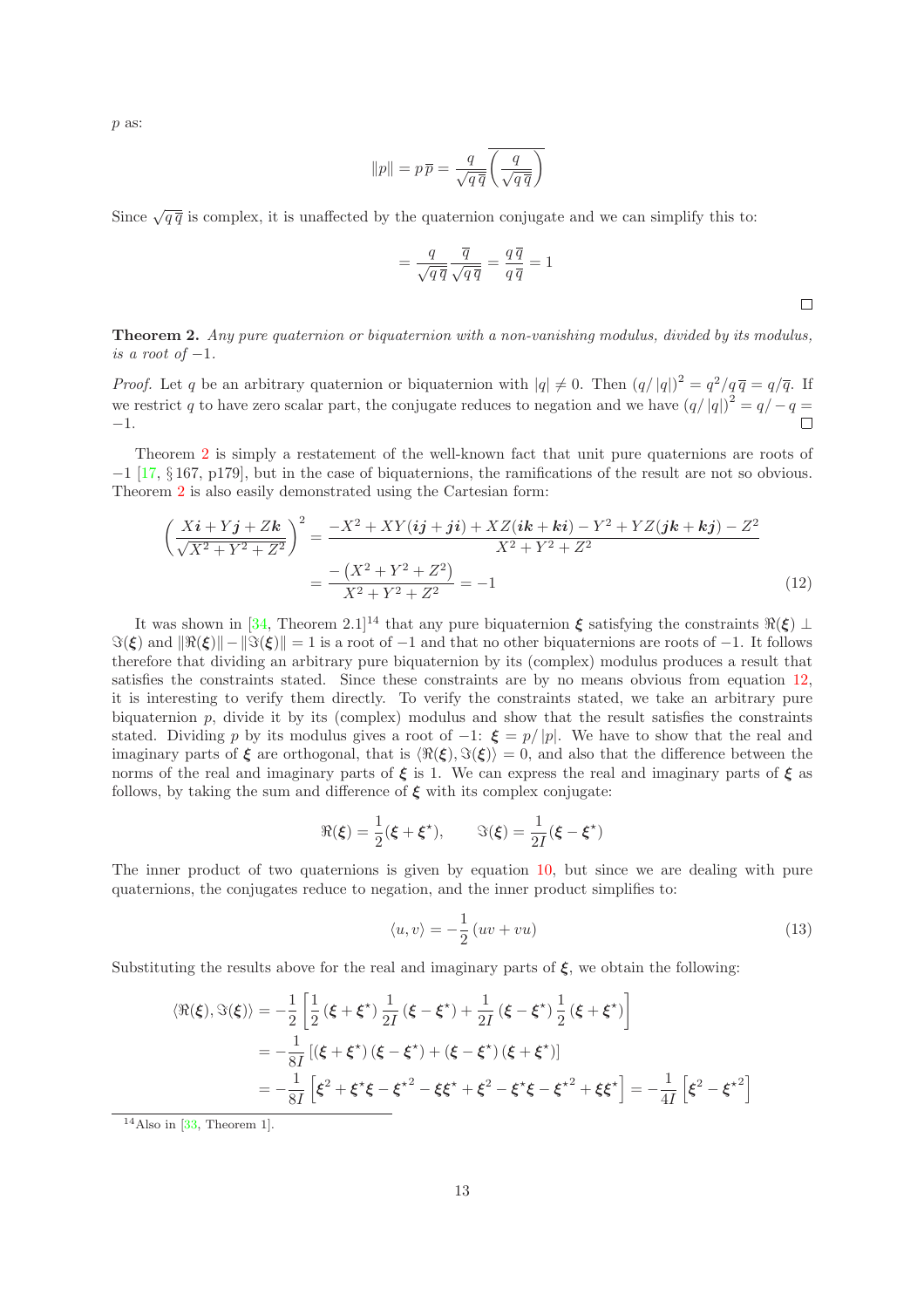p as:

$$
||p|| = p\overline{p} = \frac{q}{\sqrt{q\,\overline{q}}} \overline{\left(\frac{q}{\sqrt{q\,\overline{q}}}\right)}
$$

Since  $\sqrt{q\bar{q}}$  is complex, it is unaffected by the quaternion conjugate and we can simplify this to:

<span id="page-12-1"></span>
$$
= \frac{q}{\sqrt{q\,\overline{q}}}\frac{\overline{q}}{\sqrt{q\,\overline{q}}} = \frac{q\,\overline{q}}{q\,\overline{q}} = 1
$$

<span id="page-12-0"></span>Theorem 2. Any pure quaternion or biquaternion with a non-vanishing modulus, divided by its modulus, is a root of  $-1$ .

*Proof.* Let q be an arbitrary quaternion or biquaternion with  $|q| \neq 0$ . Then  $(q/|q|)^2 = q^2/q\overline{q} = q/\overline{q}$ . If we restrict q to have zero scalar part, the conjugate reduces to negation and we have  $(q/|q|)^2 = q/ - q =$ −1.

Theorem [2](#page-12-0) is simply a restatement of the well-known fact that unit pure quaternions are roots of −1 [\[17,](#page-17-1) § 167, p179], but in the case of biquaternions, the ramifications of the result are not so obvious. Theorem [2](#page-12-0) is also easily demonstrated using the Cartesian form:

$$
\left(\frac{Xi + Y\mathbf{j} + Z\mathbf{k}}{\sqrt{X^2 + Y^2 + Z^2}}\right)^2 = \frac{-X^2 + XY(i\mathbf{j} + \mathbf{j} + XZ(i\mathbf{k} + \mathbf{k}\mathbf{i}) - Y^2 + YZ(j\mathbf{k} + \mathbf{k}\mathbf{j}) - Z^2}{X^2 + Y^2 + Z^2}
$$

$$
= \frac{-\left(X^2 + Y^2 + Z^2\right)}{X^2 + Y^2 + Z^2} = -1 \tag{12}
$$

It was shown in [\[34,](#page-18-9) Theorem 2.1]<sup>14</sup> that any pure biquaternion  $\xi$  satisfying the constraints  $\Re(\xi) \perp$  $\Im(\xi)$  and  $\|\Re(\xi)\| - \|\Im(\xi)\| = 1$  is a root of  $-1$  and that no other biquaternions are roots of  $-1$ . It follows therefore that dividing an arbitrary pure biquaternion by its (complex) modulus produces a result that satisfies the constraints stated. Since these constraints are by no means obvious from equation [12,](#page-12-1) it is interesting to verify them directly. To verify the constraints stated, we take an arbitrary pure biquaternion  $p$ , divide it by its (complex) modulus and show that the result satisfies the constraints stated. Dividing p by its modulus gives a root of  $-1$ :  $\xi = p/|p|$ . We have to show that the real and imaginary parts of  $\xi$  are orthogonal, that is  $\langle \Re(\xi), \Im(\xi) \rangle = 0$ , and also that the difference between the norms of the real and imaginary parts of  $\xi$  is 1. We can express the real and imaginary parts of  $\xi$  as follows, by taking the sum and difference of  $\xi$  with its complex conjugate:

$$
\Re(\xi) = \frac{1}{2}(\xi + \xi^{\star}), \qquad \Im(\xi) = \frac{1}{2I}(\xi - \xi^{\star})
$$

The inner product of two quaternions is given by equation [10,](#page-8-2) but since we are dealing with pure quaternions, the conjugates reduce to negation, and the inner product simplifies to:

<span id="page-12-2"></span>
$$
\langle u, v \rangle = -\frac{1}{2} \left( uv + vu \right) \tag{13}
$$

Substituting the results above for the real and imaginary parts of  $\xi$ , we obtain the following:

$$
\langle \Re(\xi), \Im(\xi) \rangle = -\frac{1}{2} \left[ \frac{1}{2} \left( \xi + \xi^* \right) \frac{1}{2I} \left( \xi - \xi^* \right) + \frac{1}{2I} \left( \xi - \xi^* \right) \frac{1}{2} \left( \xi + \xi^* \right) \right]
$$
  
=  $-\frac{1}{8I} \left[ \left( \xi + \xi^* \right) \left( \xi - \xi^* \right) + \left( \xi - \xi^* \right) \left( \xi + \xi^* \right) \right]$   
=  $-\frac{1}{8I} \left[ \xi^2 + \xi^* \xi - \xi^{*2} - \xi \xi^* + \xi^2 - \xi^* \xi - \xi^{*2} + \xi \xi^* \right] = -\frac{1}{4I} \left[ \xi^2 - \xi^{*2} \right]$ 

 $14$ Also in [\[33,](#page-18-10) Theorem 1].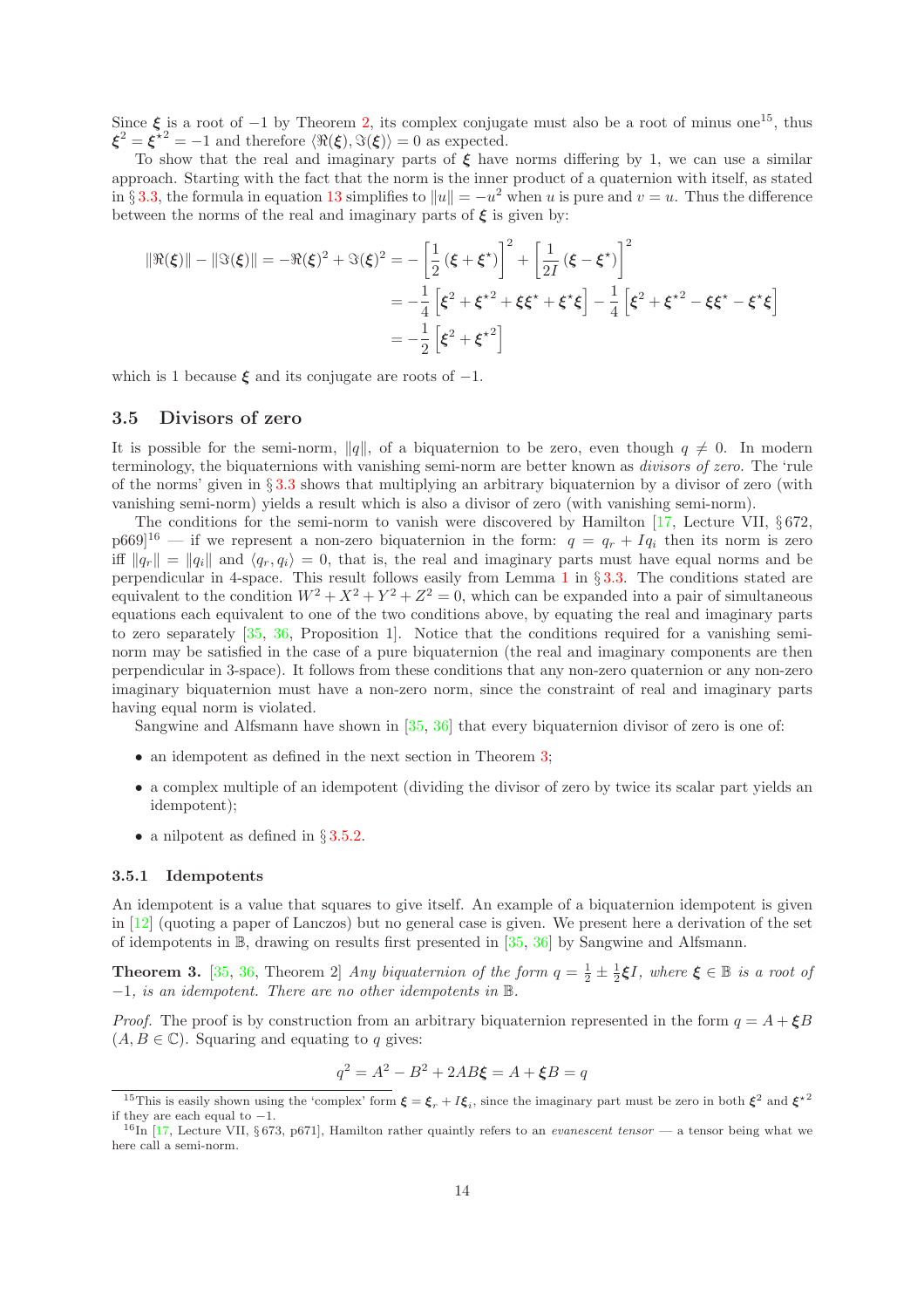Since  $\xi$  is a root of −1 by Theorem [2,](#page-12-0) its complex conjugate must also be a root of minus one<sup>15</sup>, thus  $\xi^2 = \xi^{2} = -1$  and therefore  $\langle \Re(\xi), \Im(\xi) \rangle = 0$  as expected.

To show that the real and imaginary parts of  $\xi$  have norms differing by 1, we can use a similar approach. Starting with the fact that the norm is the inner product of a quaternion with itself, as stated in § [3.3,](#page-10-0) the formula in equation [13](#page-12-2) simplifies to  $||u|| = -u^2$  when u is pure and  $v = u$ . Thus the difference between the norms of the real and imaginary parts of  $\xi$  is given by:

$$
\|\Re(\xi)\| - \|\Im(\xi)\| = -\Re(\xi)^2 + \Im(\xi)^2 = -\left[\frac{1}{2}(\xi + \xi^*)\right]^2 + \left[\frac{1}{2I}(\xi - \xi^*)\right]^2
$$
  
=  $-\frac{1}{4}\left[\xi^2 + \xi^{*2} + \xi\xi^* + \xi^*\xi\right] - \frac{1}{4}\left[\xi^2 + \xi^{*2} - \xi\xi^* - \xi^*\xi\right]$   
=  $-\frac{1}{2}\left[\xi^2 + \xi^{*2}\right]$ 

which is 1 because  $\xi$  and its conjugate are roots of  $-1$ .

## <span id="page-13-0"></span>3.5 Divisors of zero

It is possible for the semi-norm,  $||q||$ , of a biquaternion to be zero, even though  $q \neq 0$ . In modern terminology, the biquaternions with vanishing semi-norm are better known as divisors of zero. The 'rule of the norms' given in § [3.3](#page-10-0) shows that multiplying an arbitrary biquaternion by a divisor of zero (with vanishing semi-norm) yields a result which is also a divisor of zero (with vanishing semi-norm).

The conditions for the semi-norm to vanish were discovered by Hamilton [\[17,](#page-17-1) Lecture VII, § 672,  $p669|^{16}$  — if we represent a non-zero biquaternion in the form:  $q = q_r + Iq_i$  then its norm is zero iff  $\|q_r\| = \|q_i\|$  and  $\langle q_r, q_i \rangle = 0$ , that is, the real and imaginary parts must have equal norms and be perpendicular in 4-space. This result follows easily from Lemma [1](#page-10-1) in § [3.3.](#page-10-0) The conditions stated are equivalent to the condition  $W^2 + X^2 + Y^2 + Z^2 = 0$ , which can be expanded into a pair of simultaneous equations each equivalent to one of the two conditions above, by equating the real and imaginary parts to zero separately [\[35,](#page-18-0) [36,](#page-18-1) Proposition 1]. Notice that the conditions required for a vanishing seminorm may be satisfied in the case of a pure biquaternion (the real and imaginary components are then perpendicular in 3-space). It follows from these conditions that any non-zero quaternion or any non-zero imaginary biquaternion must have a non-zero norm, since the constraint of real and imaginary parts having equal norm is violated.

Sangwine and Alfsmann have shown in [\[35,](#page-18-0) [36\]](#page-18-1) that every biquaternion divisor of zero is one of:

- an idempotent as defined in the next section in Theorem [3;](#page-13-1)
- a complex multiple of an idempotent (dividing the divisor of zero by twice its scalar part yields an idempotent);
- a nilpotent as defined in §[3.5.2.](#page-14-1)

#### 3.5.1 Idempotents

An idempotent is a value that squares to give itself. An example of a biquaternion idempotent is given in [\[12\]](#page-17-15) (quoting a paper of Lanczos) but no general case is given. We present here a derivation of the set of idempotents in B, drawing on results first presented in [\[35,](#page-18-0) [36\]](#page-18-1) by Sangwine and Alfsmann.

<span id="page-13-1"></span>**Theorem 3.** [\[35,](#page-18-0) [36,](#page-18-1) Theorem 2] Any biquaternion of the form  $q = \frac{1}{2} \pm \frac{1}{2} \xi I$ , where  $\xi \in \mathbb{B}$  is a root of <sup>−</sup>1, is an idempotent. There are no other idempotents in <sup>B</sup>.

*Proof.* The proof is by construction from an arbitrary biquaternion represented in the form  $q = A + \xi B$  $(A, B \in \mathbb{C})$ . Squaring and equating to q gives:

$$
q^2 = A^2 - B^2 + 2AB\xi = A + \xi B = q
$$

<sup>&</sup>lt;sup>15</sup>This is easily shown using the 'complex' form  $\xi = \xi_r + I \xi_i$ , since the imaginary part must be zero in both  $\xi^2$  and  $\xi^2$ if they are each equal to  $-1$ .

 $^{16}$ In [\[17,](#page-17-1) Lecture VII, § 673, p671], Hamilton rather quaintly refers to an *evanescent tensor* — a tensor being what we here call a semi-norm.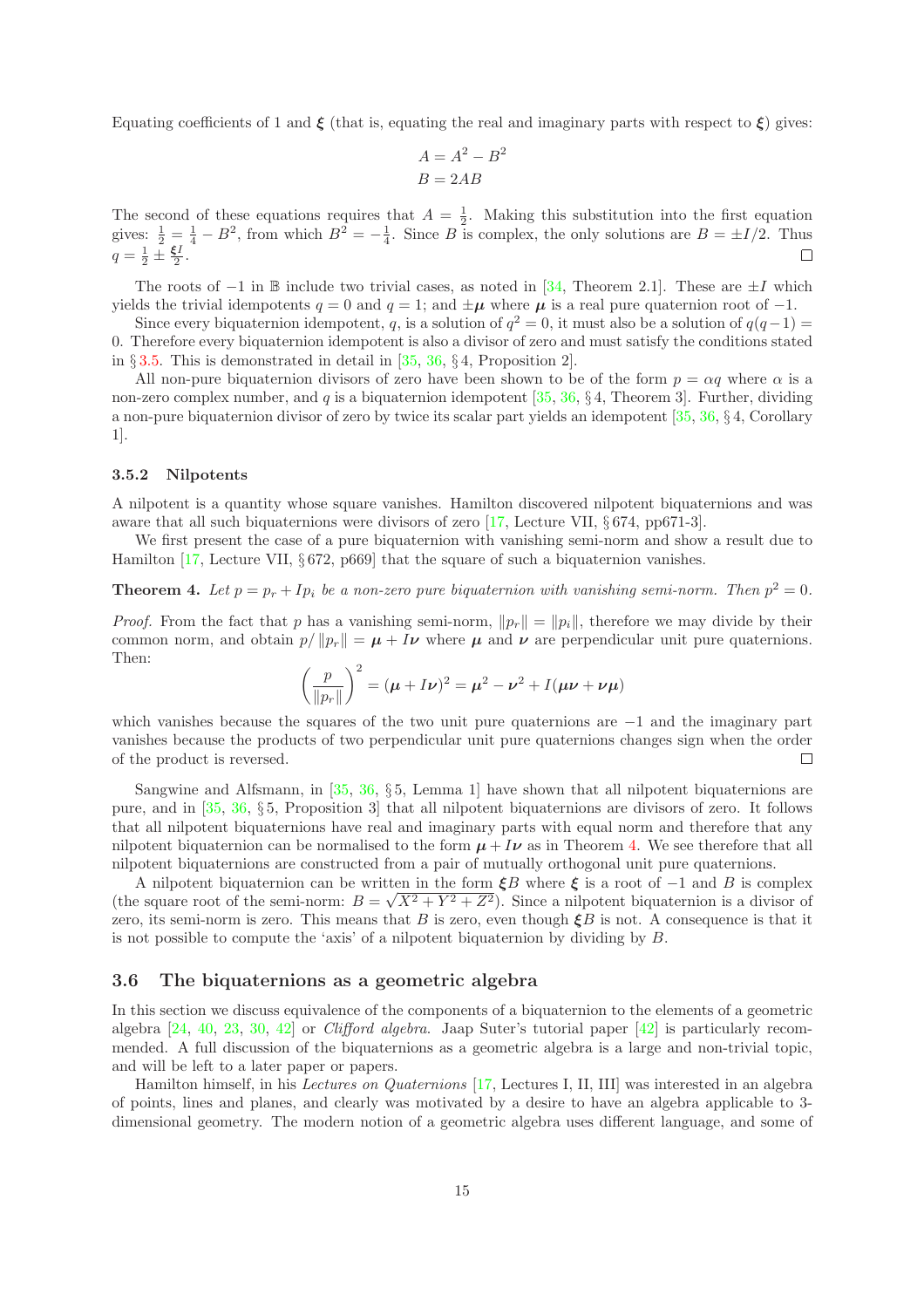Equating coefficients of 1 and  $\xi$  (that is, equating the real and imaginary parts with respect to  $\xi$ ) gives:

$$
A = A^2 - B^2
$$

$$
B = 2AB
$$

The second of these equations requires that  $A = \frac{1}{2}$ . Making this substitution into the first equation gives:  $\frac{1}{2} = \frac{1}{4} - B^2$ , from which  $B^2 = -\frac{1}{4}$ . Since B is complex, the only solutions are  $B = \pm I/2$ . Thus  $q=\frac{1}{2}\pm\frac{\xi I}{2}.$  $\Box$ 

The roots of  $-1$  in B include two trivial cases, as noted in [\[34,](#page-18-9) Theorem 2.1]. These are  $\pm I$  which yields the trivial idempotents  $q = 0$  and  $q = 1$ ; and  $\pm \mu$  where  $\mu$  is a real pure quaternion root of -1.

Since every biquaternion idempotent, q, is a solution of  $q^2 = 0$ , it must also be a solution of  $q(q-1) =$ 0. Therefore every biquaternion idempotent is also a divisor of zero and must satisfy the conditions stated in § [3.5.](#page-13-0) This is demonstrated in detail in  $[35, 36, \S 4,$  $[35, 36, \S 4,$  $[35, 36, \S 4,$  Proposition 2.

All non-pure biquaternion divisors of zero have been shown to be of the form  $p = \alpha q$  where  $\alpha$  is a non-zero complex number, and q is a biquaternion idempotent  $[35, 36, \S 4,$  $[35, 36, \S 4,$  $[35, 36, \S 4,$  Theorem 3]. Further, dividing a non-pure biquaternion divisor of zero by twice its scalar part yields an idempotent [\[35,](#page-18-0) [36,](#page-18-1) § 4, Corollary 1].

#### <span id="page-14-1"></span>3.5.2 Nilpotents

A nilpotent is a quantity whose square vanishes. Hamilton discovered nilpotent biquaternions and was aware that all such biquaternions were divisors of zero [\[17,](#page-17-1) Lecture VII, § 674, pp671-3].

We first present the case of a pure biquaternion with vanishing semi-norm and show a result due to Hamilton [\[17,](#page-17-1) Lecture VII, § 672, p669] that the square of such a biquaternion vanishes.

<span id="page-14-2"></span>**Theorem 4.** Let  $p = p_r + Ip_i$  be a non-zero pure biquaternion with vanishing semi-norm. Then  $p^2 = 0$ .

*Proof.* From the fact that p has a vanishing semi-norm,  $||p_r|| = ||p_i||$ , therefore we may divide by their common norm, and obtain  $p/||p_r|| = \mu + I\nu$  where  $\mu$  and  $\nu$  are perpendicular unit pure quaternions. Then:

$$
\left(\frac{p}{\|p_r\|}\right)^2 = (\mu + I\nu)^2 = \mu^2 - \nu^2 + I(\mu\nu + \nu\mu)
$$

which vanishes because the squares of the two unit pure quaternions are −1 and the imaginary part vanishes because the products of two perpendicular unit pure quaternions changes sign when the order of the product is reversed.  $\Box$ 

Sangwine and Alfsmann, in [\[35,](#page-18-0) [36,](#page-18-1) § 5, Lemma 1] have shown that all nilpotent biquaternions are pure, and in [\[35,](#page-18-0) [36,](#page-18-1) § 5, Proposition 3] that all nilpotent biquaternions are divisors of zero. It follows that all nilpotent biquaternions have real and imaginary parts with equal norm and therefore that any nilpotent biquaternion can be normalised to the form  $u + I\nu$  as in Theorem [4.](#page-14-2) We see therefore that all nilpotent biquaternions are constructed from a pair of mutually orthogonal unit pure quaternions.

A nilpotent biquaternion can be written in the form  $\xi B$  where  $\xi$  is a root of  $-1$  and B is complex (the square root of the semi-norm:  $B = \sqrt{X^2 + Y^2 + Z^2}$ ). Since a nilpotent biquaternion is a divisor of zero, its semi-norm is zero. This means that B is zero, even though  $\boldsymbol{\xi}B$  is not. A consequence is that it is not possible to compute the 'axis' of a nilpotent biquaternion by dividing by B.

#### <span id="page-14-0"></span>3.6 The biquaternions as a geometric algebra

In this section we discuss equivalence of the components of a biquaternion to the elements of a geometric algebra  $[24, 40, 23, 30, 42]$  $[24, 40, 23, 30, 42]$  $[24, 40, 23, 30, 42]$  $[24, 40, 23, 30, 42]$  $[24, 40, 23, 30, 42]$  $[24, 40, 23, 30, 42]$  $[24, 40, 23, 30, 42]$  $[24, 40, 23, 30, 42]$  or *Clifford algebra*. Jaap Suter's tutorial paper  $[42]$  is particularly recommended. A full discussion of the biquaternions as a geometric algebra is a large and non-trivial topic, and will be left to a later paper or papers.

Hamilton himself, in his Lectures on Quaternions [\[17,](#page-17-1) Lectures I, II, III] was interested in an algebra of points, lines and planes, and clearly was motivated by a desire to have an algebra applicable to 3 dimensional geometry. The modern notion of a geometric algebra uses different language, and some of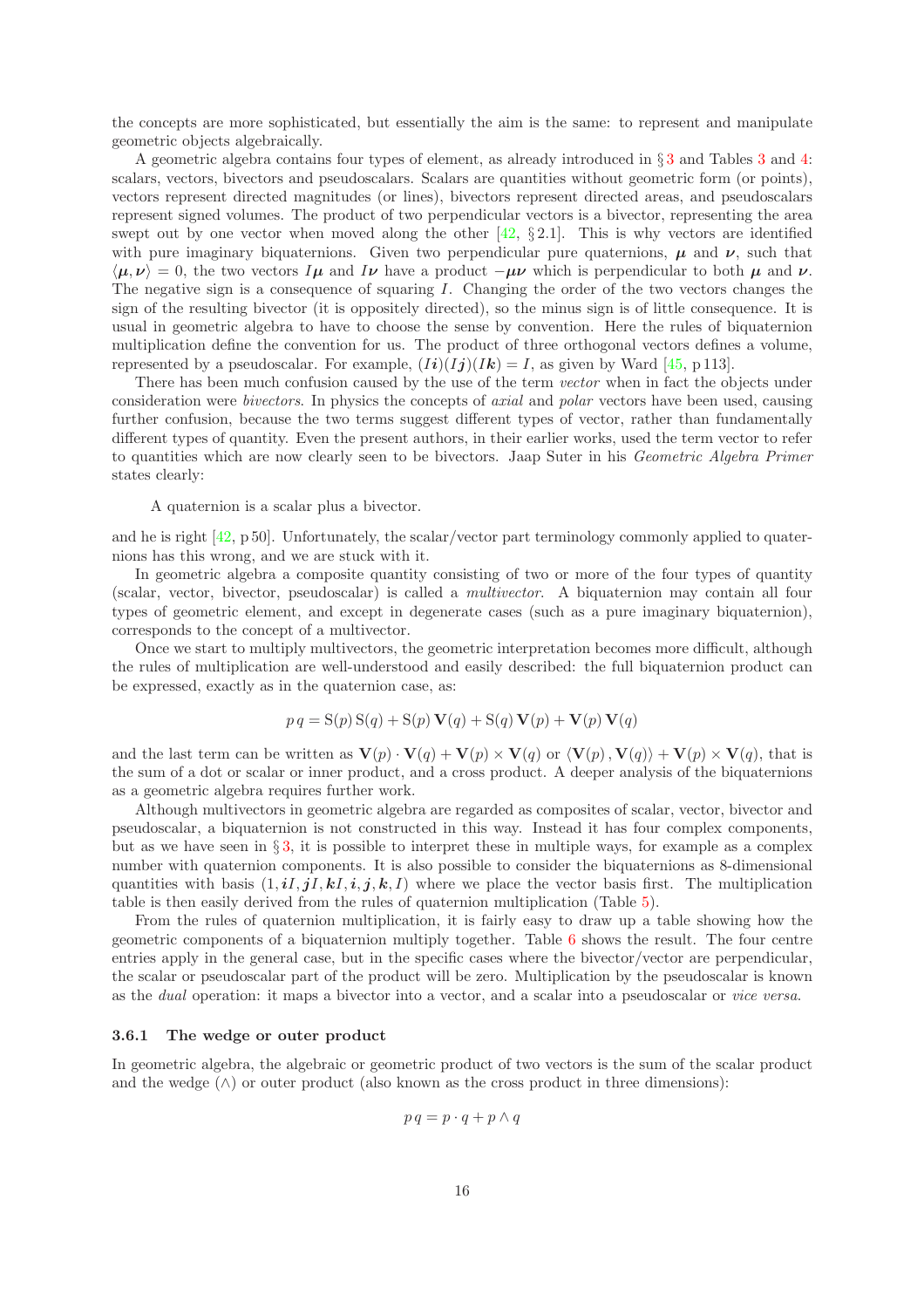the concepts are more sophisticated, but essentially the aim is the same: to represent and manipulate geometric objects algebraically.

A geometric algebra contains four types of element, as already introduced in § [3](#page-3-0) and Tables [3](#page-6-0) and [4:](#page-8-1) scalars, vectors, bivectors and pseudoscalars. Scalars are quantities without geometric form (or points), vectors represent directed magnitudes (or lines), bivectors represent directed areas, and pseudoscalars represent signed volumes. The product of two perpendicular vectors is a bivector, representing the area swept out by one vector when moved along the other  $[42, §2.1]$ . This is why vectors are identified with pure imaginary biquaternions. Given two perpendicular pure quaternions,  $\mu$  and  $\nu$ , such that  $\langle \mu, \nu \rangle = 0$ , the two vectors  $I\mu$  and  $I\nu$  have a product  $-\mu\nu$  which is perpendicular to both  $\mu$  and  $\nu$ . The negative sign is a consequence of squaring I. Changing the order of the two vectors changes the sign of the resulting bivector (it is oppositely directed), so the minus sign is of little consequence. It is usual in geometric algebra to have to choose the sense by convention. Here the rules of biquaternion multiplication define the convention for us. The product of three orthogonal vectors defines a volume, represented by a pseudoscalar. For example,  $(Ii)(Ij)(Ik) = I$ , as given by Ward [\[45,](#page-19-1) p 113].

There has been much confusion caused by the use of the term vector when in fact the objects under consideration were bivectors. In physics the concepts of axial and polar vectors have been used, causing further confusion, because the two terms suggest different types of vector, rather than fundamentally different types of quantity. Even the present authors, in their earlier works, used the term vector to refer to quantities which are now clearly seen to be bivectors. Jaap Suter in his Geometric Algebra Primer states clearly:

A quaternion is a scalar plus a bivector.

and he is right  $[42, p 50]$ . Unfortunately, the scalar/vector part terminology commonly applied to quaternions has this wrong, and we are stuck with it.

In geometric algebra a composite quantity consisting of two or more of the four types of quantity (scalar, vector, bivector, pseudoscalar) is called a multivector. A biquaternion may contain all four types of geometric element, and except in degenerate cases (such as a pure imaginary biquaternion), corresponds to the concept of a multivector.

Once we start to multiply multivectors, the geometric interpretation becomes more difficult, although the rules of multiplication are well-understood and easily described: the full biquaternion product can be expressed, exactly as in the quaternion case, as:

$$
p q = S(p) S(q) + S(p) V(q) + S(q) V(p) + V(p) V(q)
$$

and the last term can be written as  $\mathbf{V}(p) \cdot \mathbf{V}(q) + \mathbf{V}(p) \times \mathbf{V}(q)$  or  $\langle \mathbf{V}(p), \mathbf{V}(q) \rangle + \mathbf{V}(p) \times \mathbf{V}(q)$ , that is the sum of a dot or scalar or inner product, and a cross product. A deeper analysis of the biquaternions as a geometric algebra requires further work.

Although multivectors in geometric algebra are regarded as composites of scalar, vector, bivector and pseudoscalar, a biquaternion is not constructed in this way. Instead it has four complex components, but as we have seen in § [3,](#page-3-0) it is possible to interpret these in multiple ways, for example as a complex number with quaternion components. It is also possible to consider the biquaternions as 8-dimensional quantities with basis  $(1, iI, jI, kI, i, j, k, I)$  where we place the vector basis first. The multiplication table is then easily derived from the rules of quaternion multiplication (Table [5\)](#page-16-4).

From the rules of quaternion multiplication, it is fairly easy to draw up a table showing how the geometric components of a biquaternion multiply together. Table [6](#page-16-5) shows the result. The four centre entries apply in the general case, but in the specific cases where the bivector/vector are perpendicular, the scalar or pseudoscalar part of the product will be zero. Multiplication by the pseudoscalar is known as the dual operation: it maps a bivector into a vector, and a scalar into a pseudoscalar or vice versa.

#### 3.6.1 The wedge or outer product

In geometric algebra, the algebraic or geometric product of two vectors is the sum of the scalar product and the wedge  $(\wedge)$  or outer product (also known as the cross product in three dimensions):

$$
p\,q = p \cdot q + p \wedge q
$$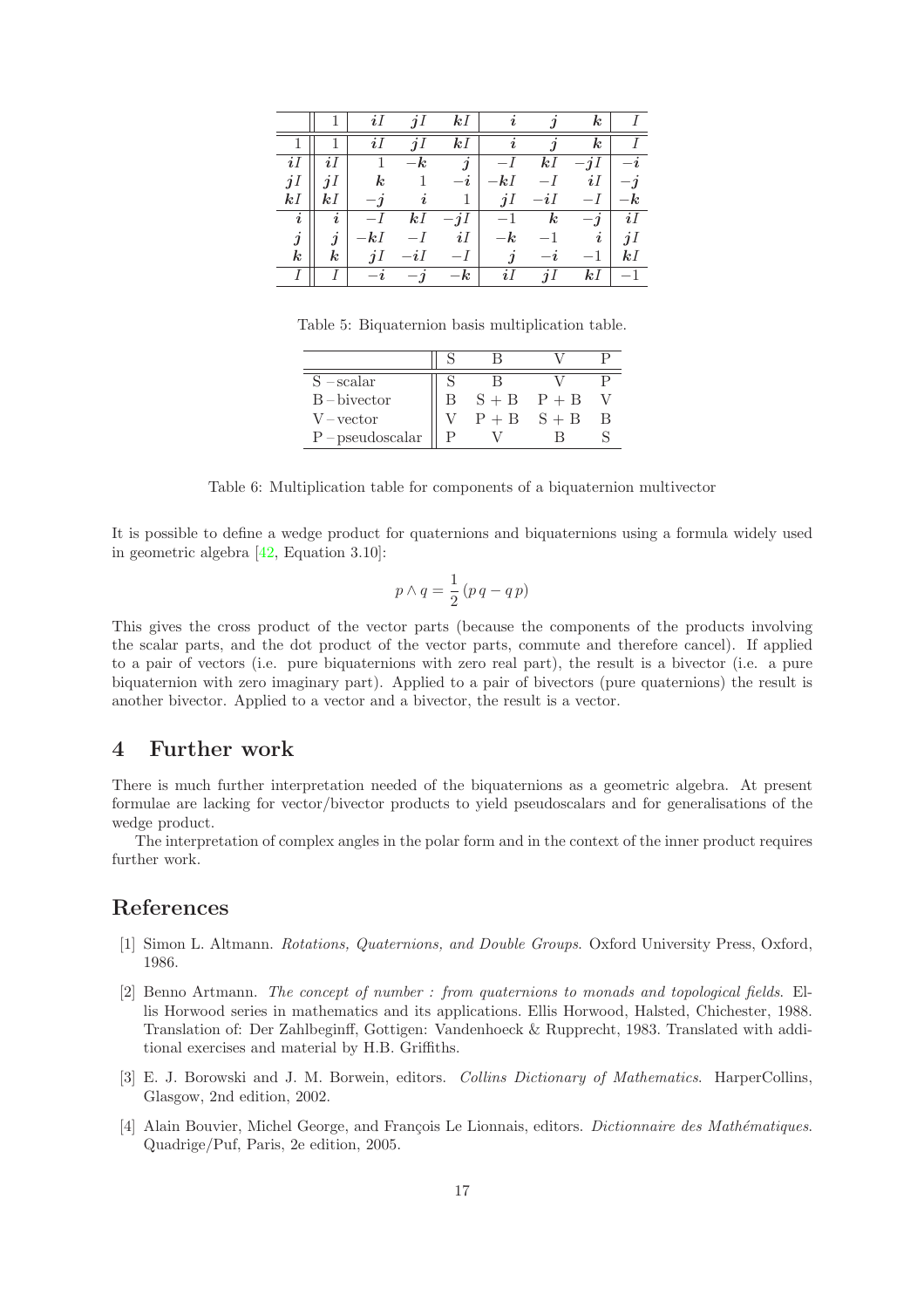|                       |                            | $\imath$             | ി                   | $k$ $l$          |                     |                  | $\boldsymbol{k}$ |        |
|-----------------------|----------------------------|----------------------|---------------------|------------------|---------------------|------------------|------------------|--------|
|                       |                            |                      | $\boldsymbol{\eta}$ | $k$ $l$          | $\boldsymbol{\eta}$ |                  | $\boldsymbol{k}$ |        |
| iI                    |                            |                      | $\boldsymbol{k}$    | $\jmath$         |                     | $k\mathit{I}$    |                  |        |
| jI                    | iI                         | $\boldsymbol{k}$     |                     | $-\iota$         | $-kI$               |                  | iI               |        |
| kI                    | kl                         | $-\boldsymbol{\eta}$ |                     |                  | jI                  | $-i1$            |                  | ĸ      |
| $\boldsymbol{i}$      | $\imath$                   |                      | kI                  | $-11$            |                     | $\boldsymbol{k}$ | $-1$             | iI     |
| $\boldsymbol{\jmath}$ | ٠<br>$\boldsymbol{\jmath}$ | $k\mathit{I}$        |                     | iI               | $\boldsymbol{k}$    |                  | $\imath$         | $\eta$ |
| $\boldsymbol{k}$      | $\boldsymbol{k}$           | jI                   |                     |                  |                     |                  |                  | kI     |
|                       |                            |                      |                     | $\boldsymbol{k}$ |                     |                  | kl               |        |

Table 5: Biquaternion basis multiplication table.

<span id="page-16-4"></span>

| $S - scalar$       |                 |  |
|--------------------|-----------------|--|
| $B - bivector$     | $S + B$ $P + B$ |  |
| V – vector         | $P + B$ $S + B$ |  |
| $P$ – pseudoscalar |                 |  |

<span id="page-16-5"></span>Table 6: Multiplication table for components of a biquaternion multivector

It is possible to define a wedge product for quaternions and biquaternions using a formula widely used in geometric algebra [\[42,](#page-18-17) Equation 3.10]:

$$
p \wedge q = \frac{1}{2} (p \, q - q \, p)
$$

This gives the cross product of the vector parts (because the components of the products involving the scalar parts, and the dot product of the vector parts, commute and therefore cancel). If applied to a pair of vectors (i.e. pure biquaternions with zero real part), the result is a bivector (i.e. a pure biquaternion with zero imaginary part). Applied to a pair of bivectors (pure quaternions) the result is another bivector. Applied to a vector and a bivector, the result is a vector.

# 4 Further work

There is much further interpretation needed of the biquaternions as a geometric algebra. At present formulae are lacking for vector/bivector products to yield pseudoscalars and for generalisations of the wedge product.

The interpretation of complex angles in the polar form and in the context of the inner product requires further work.

# <span id="page-16-0"></span>References

- <span id="page-16-1"></span>[1] Simon L. Altmann. Rotations, Quaternions, and Double Groups. Oxford University Press, Oxford, 1986.
- [2] Benno Artmann. The concept of number : from quaternions to monads and topological fields. Ellis Horwood series in mathematics and its applications. Ellis Horwood, Halsted, Chichester, 1988. Translation of: Der Zahlbeginff, Gottigen: Vandenhoeck & Rupprecht, 1983. Translated with additional exercises and material by H.B. Griffiths.
- <span id="page-16-3"></span>[3] E. J. Borowski and J. M. Borwein, editors. Collins Dictionary of Mathematics. HarperCollins, Glasgow, 2nd edition, 2002.
- <span id="page-16-2"></span>[4] Alain Bouvier, Michel George, and François Le Lionnais, editors. *Dictionnaire des Mathématiques*. Quadrige/Puf, Paris, 2e edition, 2005.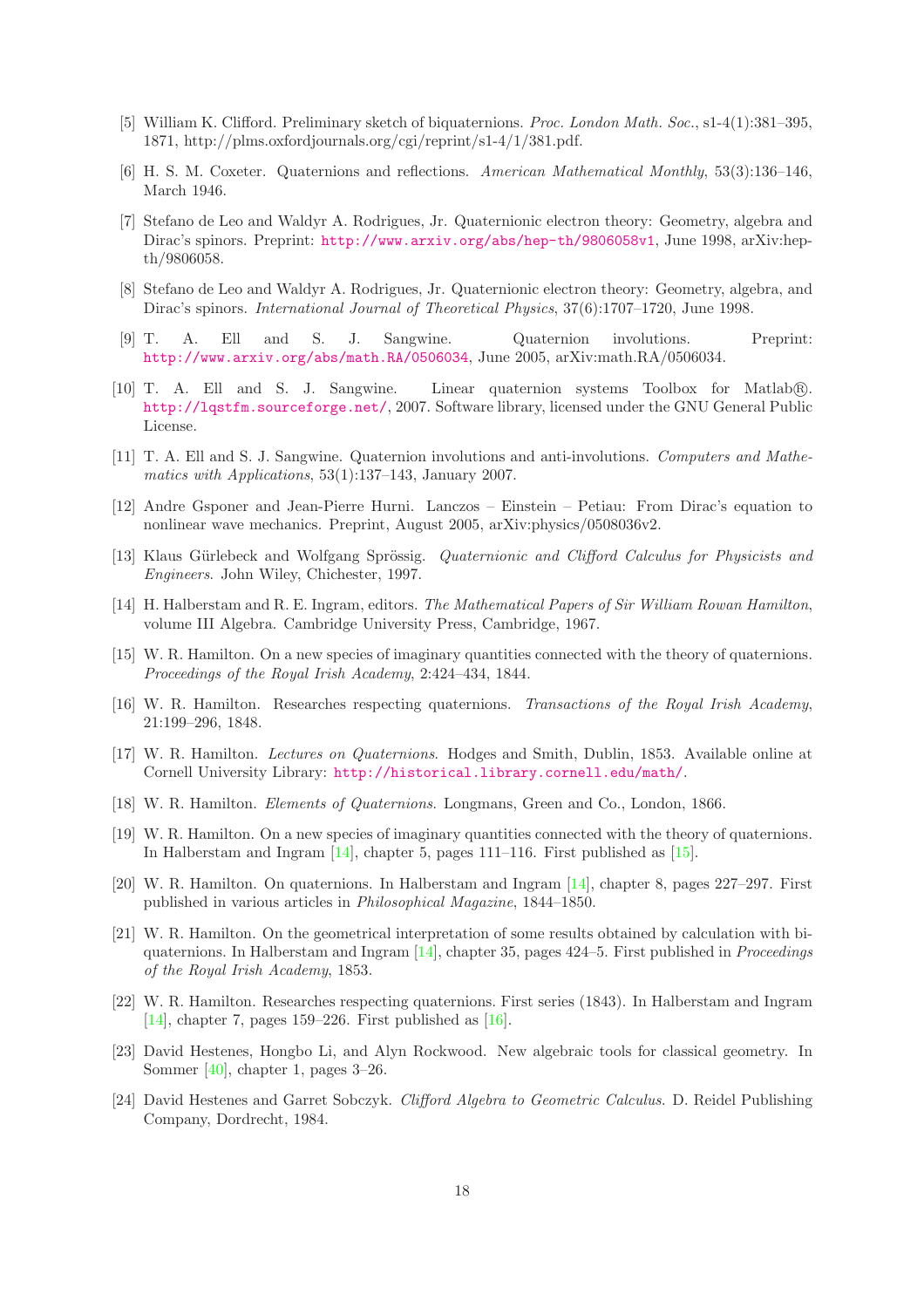- <span id="page-17-2"></span>[5] William K. Clifford. Preliminary sketch of biquaternions. Proc. London Math. Soc., s1-4(1):381–395, 1871, http://plms.oxfordjournals.org/cgi/reprint/s1-4/1/381.pdf.
- <span id="page-17-12"></span><span id="page-17-5"></span>[6] H. S. M. Coxeter. Quaternions and reflections. American Mathematical Monthly, 53(3):136–146, March 1946.
- [7] Stefano de Leo and Waldyr A. Rodrigues, Jr. Quaternionic electron theory: Geometry, algebra and Dirac's spinors. Preprint: <http://www.arxiv.org/abs/hep-th/9806058v1>, June 1998, arXiv:hepth/9806058.
- <span id="page-17-13"></span>[8] Stefano de Leo and Waldyr A. Rodrigues, Jr. Quaternionic electron theory: Geometry, algebra, and Dirac's spinors. International Journal of Theoretical Physics, 37(6):1707–1720, June 1998.
- <span id="page-17-10"></span>[9] T. A. Ell and S. J. Sangwine. Quaternion involutions. Preprint: <http://www.arxiv.org/abs/math.RA/0506034>, June 2005, arXiv:math.RA/0506034.
- <span id="page-17-6"></span>[10] T. A. Ell and S. J. Sangwine. Linear quaternion systems Toolbox for Matlab®. <http://lqstfm.sourceforge.net/>, 2007. Software library, licensed under the GNU General Public License.
- <span id="page-17-9"></span>[11] T. A. Ell and S. J. Sangwine. Quaternion involutions and anti-involutions. Computers and Mathematics with Applications, 53(1):137–143, January 2007.
- <span id="page-17-15"></span>[12] Andre Gsponer and Jean-Pierre Hurni. Lanczos – Einstein – Petiau: From Dirac's equation to nonlinear wave mechanics. Preprint, August 2005, arXiv:physics/0508036v2.
- <span id="page-17-16"></span>[13] Klaus Gürlebeck and Wolfgang Sprössig. Quaternionic and Clifford Calculus for Physicists and Engineers. John Wiley, Chichester, 1997.
- <span id="page-17-4"></span>[14] H. Halberstam and R. E. Ingram, editors. The Mathematical Papers of Sir William Rowan Hamilton, volume III Algebra. Cambridge University Press, Cambridge, 1967.
- <span id="page-17-18"></span>[15] W. R. Hamilton. On a new species of imaginary quantities connected with the theory of quaternions. Proceedings of the Royal Irish Academy, 2:424–434, 1844.
- <span id="page-17-19"></span>[16] W. R. Hamilton. Researches respecting quaternions. Transactions of the Royal Irish Academy, 21:199–296, 1848.
- <span id="page-17-1"></span>[17] W. R. Hamilton. Lectures on Quaternions. Hodges and Smith, Dublin, 1853. Available online at Cornell University Library: <http://historical.library.cornell.edu/math/>.
- <span id="page-17-7"></span><span id="page-17-3"></span>[18] W. R. Hamilton. Elements of Quaternions. Longmans, Green and Co., London, 1866.
- [19] W. R. Hamilton. On a new species of imaginary quantities connected with the theory of quaternions. In Halberstam and Ingram [\[14\]](#page-17-4), chapter 5, pages 111–116. First published as [\[15\]](#page-17-18).
- <span id="page-17-8"></span>[20] W. R. Hamilton. On quaternions. In Halberstam and Ingram [\[14\]](#page-17-4), chapter 8, pages 227–297. First published in various articles in Philosophical Magazine, 1844–1850.
- <span id="page-17-0"></span>[21] W. R. Hamilton. On the geometrical interpretation of some results obtained by calculation with biquaternions. In Halberstam and Ingram  $[14]$ , chapter 35, pages 424–5. First published in *Proceedings* of the Royal Irish Academy, 1853.
- <span id="page-17-11"></span>[22] W. R. Hamilton. Researches respecting quaternions. First series (1843). In Halberstam and Ingram [\[14\]](#page-17-4), chapter 7, pages 159–226. First published as  $[16]$ .
- <span id="page-17-17"></span>[23] David Hestenes, Hongbo Li, and Alyn Rockwood. New algebraic tools for classical geometry. In Sommer [\[40\]](#page-18-11), chapter 1, pages 3–26.
- <span id="page-17-14"></span>[24] David Hestenes and Garret Sobczyk. Clifford Algebra to Geometric Calculus. D. Reidel Publishing Company, Dordrecht, 1984.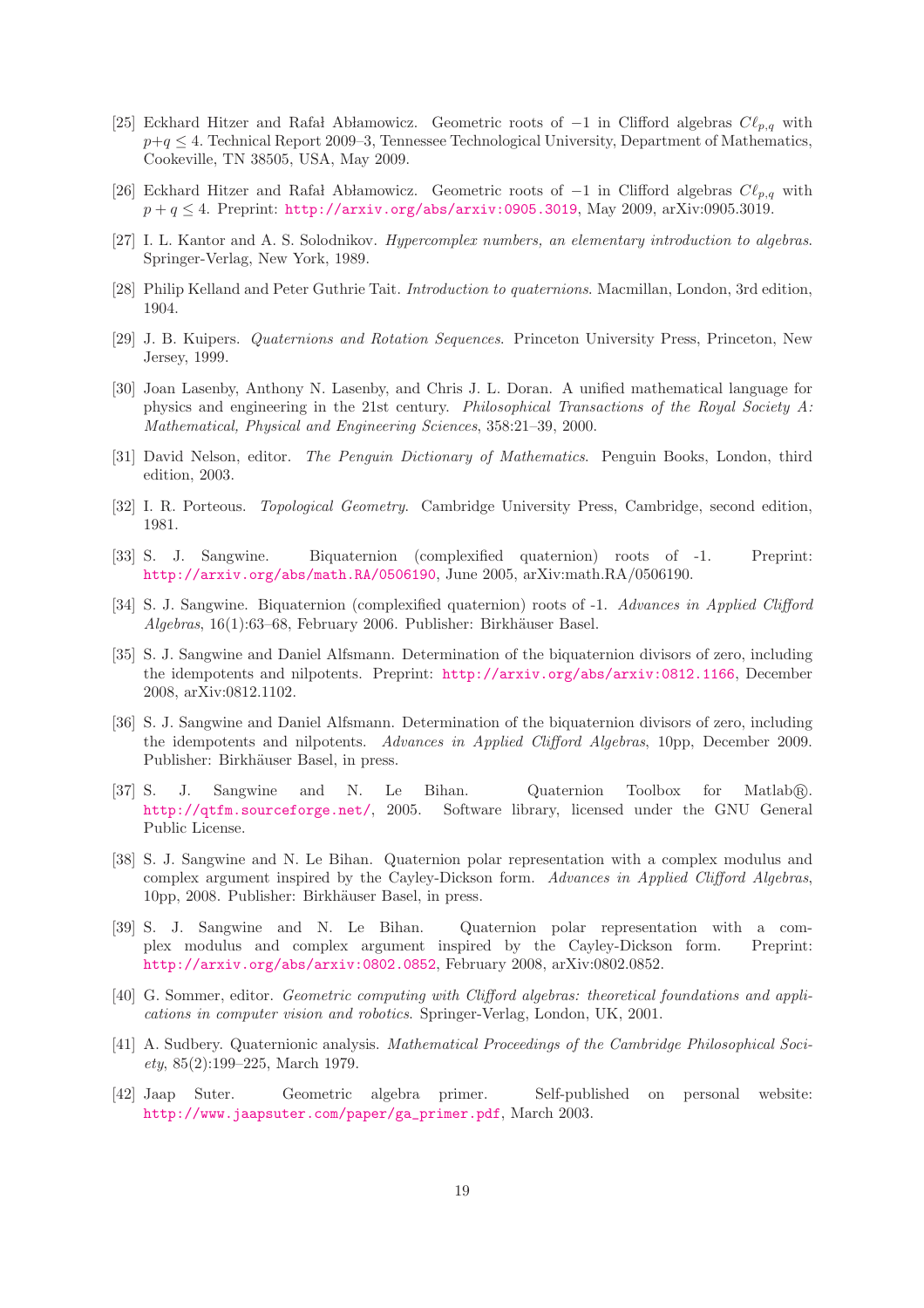- <span id="page-18-14"></span>[25] Eckhard Hitzer and Rafał Abłamowicz. Geometric roots of  $-1$  in Clifford algebras  $C\ell_{p,q}$  with  $p+q \leq 4$ . Technical Report 2009–3, Tennessee Technological University, Department of Mathematics, Cookeville, TN 38505, USA, May 2009.
- <span id="page-18-15"></span><span id="page-18-2"></span>[26] Eckhard Hitzer and Rafa Ab lamowicz. Geometric roots of  $-1$  in Clifford algebras  $C\ell_{p,q}$  with  $p + q \leq 4$ . Preprint: <http://arxiv.org/abs/arxiv:0905.3019>, May 2009, arXiv:0905.3019.
- <span id="page-18-3"></span>[27] I. L. Kantor and A. S. Solodnikov. Hypercomplex numbers, an elementary introduction to algebras. Springer-Verlag, New York, 1989.
- <span id="page-18-4"></span>[28] Philip Kelland and Peter Guthrie Tait. Introduction to quaternions. Macmillan, London, 3rd edition, 1904.
- <span id="page-18-16"></span>[29] J. B. Kuipers. Quaternions and Rotation Sequences. Princeton University Press, Princeton, New Jersey, 1999.
- [30] Joan Lasenby, Anthony N. Lasenby, and Chris J. L. Doran. A unified mathematical language for physics and engineering in the 21st century. Philosophical Transactions of the Royal Society A: Mathematical, Physical and Engineering Sciences, 358:21–39, 2000.
- <span id="page-18-13"></span>[31] David Nelson, editor. The Penguin Dictionary of Mathematics. Penguin Books, London, third edition, 2003.
- <span id="page-18-12"></span><span id="page-18-10"></span>[32] I. R. Porteous. Topological Geometry. Cambridge University Press, Cambridge, second edition, 1981.
- [33] S. J. Sangwine. Biquaternion (complexified quaternion) roots of -1. Preprint: <http://arxiv.org/abs/math.RA/0506190>, June 2005, arXiv:math.RA/0506190.
- <span id="page-18-9"></span>[34] S. J. Sangwine. Biquaternion (complexified quaternion) roots of -1. Advances in Applied Clifford  $Algebras$ ,  $16(1):63–68$ , February 2006. Publisher: Birkhäuser Basel.
- <span id="page-18-0"></span>[35] S. J. Sangwine and Daniel Alfsmann. Determination of the biquaternion divisors of zero, including the idempotents and nilpotents. Preprint: <http://arxiv.org/abs/arxiv:0812.1166>, December 2008, arXiv:0812.1102.
- <span id="page-18-1"></span>[36] S. J. Sangwine and Daniel Alfsmann. Determination of the biquaternion divisors of zero, including the idempotents and nilpotents. Advances in Applied Clifford Algebras, 10pp, December 2009. Publisher: Birkhäuser Basel, in press.
- <span id="page-18-5"></span>[37] S. J. Sangwine and N. Le Bihan. Quaternion Toolbox for Matlab <sup>R</sup> . <http://qtfm.sourceforge.net/>, 2005. Software library, licensed under the GNU General Public License.
- <span id="page-18-7"></span>[38] S. J. Sangwine and N. Le Bihan. Quaternion polar representation with a complex modulus and complex argument inspired by the Cayley-Dickson form. Advances in Applied Clifford Algebras, 10pp, 2008. Publisher: Birkhäuser Basel, in press.
- <span id="page-18-8"></span>[39] S. J. Sangwine and N. Le Bihan. Quaternion polar representation with a complex modulus and complex argument inspired by the Cayley-Dickson form. Preprint: <http://arxiv.org/abs/arxiv:0802.0852>, February 2008, arXiv:0802.0852.
- <span id="page-18-11"></span>[40] G. Sommer, editor. *Geometric computing with Clifford algebras: theoretical foundations and appli*cations in computer vision and robotics. Springer-Verlag, London, UK, 2001.
- <span id="page-18-6"></span>[41] A. Sudbery. Quaternionic analysis. Mathematical Proceedings of the Cambridge Philosophical Society, 85(2):199–225, March 1979.
- <span id="page-18-17"></span>[42] Jaap Suter. Geometric algebra primer. Self-published on personal website: [http://www.jaapsuter.com/paper/ga\\_primer.pdf](http://www.jaapsuter.com/paper/ga_primer.pdf), March 2003.